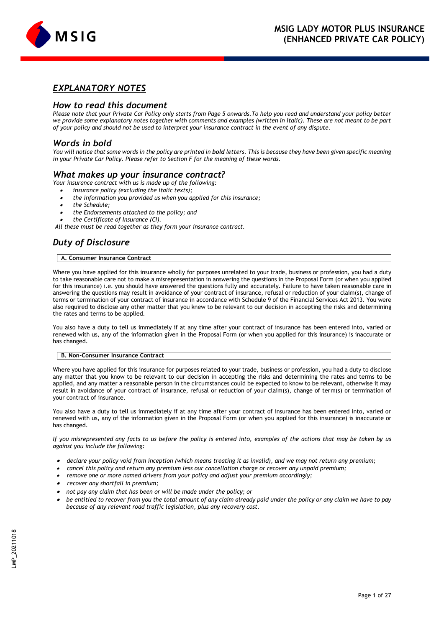

# *EXPLANATORY NOTES*

# *How to read this document*

*Please note that your Private Car Policy only starts from Page 5 onwards.To help you read and understand your policy better we provide some explanatory notes together with comments and examples (written in italic). These are not meant to be part of your policy and should not be used to interpret your insurance contract in the event of any dispute.*

# *Words in bold*

*You will notice that some words in the policy are printed in bold letters. This is because they have been given specific meaning in your Private Car Policy. Please refer to Section F for the meaning of these words.*

# *What makes up your insurance contract?*

*Your insurance contract with us is made up of the following:*

- •*insurance policy (excluding the italic texts);*
- •*the information you provided us when you applied for this insurance;*
- •*the Schedule;*
- •*the Endorsements attached to the policy; and*
- •*the Certificate of Insurance (CI).*

*All these must be read together as they form your insurance contract.* 

# *Duty of Disclosure*

# **A. Consumer Insurance Contract**

Where you have applied for this insurance wholly for purposes unrelated to your trade, business or profession, you had a duty to take reasonable care not to make a misrepresentation in answering the questions in the Proposal Form (or when you applied for this insurance) i.e. you should have answered the questions fully and accurately. Failure to have taken reasonable care in answering the questions may result in avoidance of your contract of insurance, refusal or reduction of your claim(s), change of terms or termination of your contract of insurance in accordance with Schedule 9 of the Financial Services Act 2013. You were also required to disclose any other matter that you knew to be relevant to our decision in accepting the risks and determining the rates and terms to be applied.

You also have a duty to tell us immediately if at any time after your contract of insurance has been entered into, varied or renewed with us, any of the information given in the Proposal Form (or when you applied for this insurance) is inaccurate or has changed.

# **B. Non-Consumer Insurance Contract**

Where you have applied for this insurance for purposes related to your trade, business or profession, you had a duty to disclose any matter that you know to be relevant to our decision in accepting the risks and determining the rates and terms to be applied, and any matter a reasonable person in the circumstances could be expected to know to be relevant, otherwise it may result in avoidance of your contract of insurance, refusal or reduction of your claim(s), change of term(s) or termination of your contract of insurance.

You also have a duty to tell us immediately if at any time after your contract of insurance has been entered into, varied or renewed with us, any of the information given in the Proposal Form (or when you applied for this insurance) is inaccurate or has changed.

*If you misrepresented any facts to us before the policy is entered into, examples of the actions that may be taken by us against you include the following:*

- • *declare your policy void from inception (which means treating it as invalid), and we may not return any premium;*
- • *cancel this policy and return any premium less our cancellation charge or recover any unpaid premium;*
- • *remove one or more named drivers from your policy and adjust your premium accordingly;*
- • *recover any shortfall in premium;*
- •*not pay any claim that has been or will be made under the policy; or*
- • *be entitled to recover from you the total amount of any claim already paid under the policy or any claim we have to pay because of any relevant road traffic legislation, plus any recovery cost.*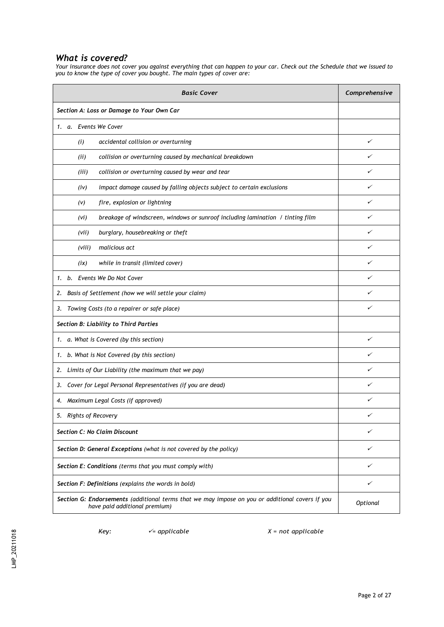# *What is covered?*

*Your insurance does not cover you against everything that can happen to your car. Check out the Schedule that we issued to you to know the type of cover you bought. The main types of cover are:*

| <b>Basic Cover</b>                                                                                                               | Comprehensive |  |  |
|----------------------------------------------------------------------------------------------------------------------------------|---------------|--|--|
| Section A: Loss or Damage to Your Own Car                                                                                        |               |  |  |
| 1. a. Events We Cover                                                                                                            |               |  |  |
| accidental collision or overturning<br>(i)                                                                                       | ✓             |  |  |
| collision or overturning caused by mechanical breakdown<br>(ii)                                                                  | ✓             |  |  |
| collision or overturning caused by wear and tear<br>(iii)                                                                        | ✓             |  |  |
| impact damage caused by falling objects subject to certain exclusions<br>(iv)                                                    | ✓             |  |  |
| fire, explosion or lightning<br>(v)                                                                                              | ✓             |  |  |
| breakage of windscreen, windows or sunroof including lamination / tinting film<br>(vi)                                           | ✓             |  |  |
| burglary, housebreaking or theft<br>(vii)                                                                                        | ✓             |  |  |
| malicious act<br>(viii)                                                                                                          | ✓             |  |  |
| while in transit (limited cover)<br>(ix)                                                                                         | ✓             |  |  |
| 1. b. Events We Do Not Cover                                                                                                     | ✓             |  |  |
| Basis of Settlement (how we will settle your claim)<br>2.                                                                        | ✓             |  |  |
| Towing Costs (to a repairer or safe place)<br>3.                                                                                 | ✓             |  |  |
| Section B: Liability to Third Parties                                                                                            |               |  |  |
| 1. a. What is Covered (by this section)                                                                                          | ✓             |  |  |
| 1. b. What is Not Covered (by this section)                                                                                      | ✓             |  |  |
| Limits of Our Liability (the maximum that we pay)<br>2.                                                                          | ✓             |  |  |
| 3. Cover for Legal Personal Representatives (if you are dead)                                                                    | ✓             |  |  |
| 4. Maximum Legal Costs (if approved)                                                                                             | ✓             |  |  |
| 5.<br>Rights of Recovery                                                                                                         |               |  |  |
| <b>Section C: No Claim Discount</b>                                                                                              | ✓             |  |  |
| Section D: General Exceptions (what is not covered by the policy)                                                                | ✓             |  |  |
| Section E: Conditions (terms that you must comply with)<br>✓                                                                     |               |  |  |
| Section F: Definitions (explains the words in bold)                                                                              | ✓             |  |  |
| Section G: Endorsements (additional terms that we may impose on you or additional covers if you<br>have paid additional premium) |               |  |  |

*Key:* ✓*= applicable X = not applicable*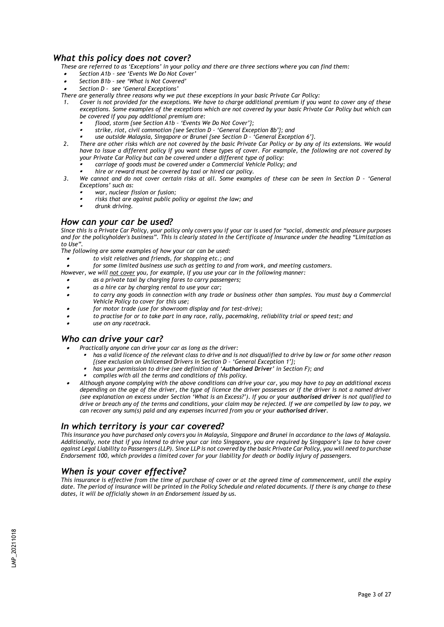# *What this policy does not cover?*

- *These are referred to as 'Exceptions' in your policy and there are three sections where you can find them:*
- •*Section A1b – see 'Events We Do Not Cover'*
- •*Section B1b – see 'What is Not Covered'*
- •*Section D – see 'General Exceptions'*

*There are generally three reasons why we put these exceptions in your basic Private Car Policy:*

- *1. Cover is not provided for the exceptions. We have to charge additional premium if you want to cover any of these exceptions. Some examples of the exceptions which are not covered by your basic Private Car Policy but which can be covered if you pay additional premium are:*
	- ▪*flood, storm {see Section A1b – 'Events We Do Not Cover'};*
	- ▪*strike, riot, civil commotion {see Section D – 'General Exception 8b'}; and*
	- ▪*use outside Malaysia, Singapore or Brunei {see Section D – 'General Exception 6'}.*
- *2. There are other risks which are not covered by the basic Private Car Policy or by any of its extensions. We would have to issue a different policy if you want these types of cover. For example, the following are not covered by your Private Car Policy but can be covered under a different type of policy:*
	- ▪*carriage of goods must be covered under a Commercial Vehicle Policy; and*
	- ▪*hire or reward must be covered by taxi or hired car policy.*
- 3. We cannot and do not cover certain risks at all. Some examples of these can be seen in Section D 'General *Exceptions' such as:*
	- ▪*war, nuclear fission or fusion;*
	- ▪*risks that are against public policy or against the law; and*
	- ▪*drunk driving.*

•

# *How can your car be used?*

*Since this is a Private Car Policy, your policy only covers you if your car is used for "social, domestic and pleasure purposes and for the policyholder's business". This is clearly stated in the Certificate of Insurance under the heading "Limitation as to Use".*

*The following are some examples of how your car can be used:*

- *to visit relatives and friends, for shopping etc.; and*
- •*for some limited business use such as getting to and from work, and meeting customers.*

*However, we will not cover you, for example, if you use your car in the following manner:*

- •*as a private taxi by charging fares to carry passengers;*
- •*as a hire car by charging rental to use your car;*
- • *to carry any goods in connection with any trade or business other than samples. You must buy a Commercial Vehicle Policy to cover for this use;*
- •*for motor trade (use for showroom display and for test-drive);*
- •*to practise for or to take part in any race, rally, pacemaking, reliability trial or speed test; and*
- •*use on any racetrack.*

# *Who can drive your car?*

- • *Practically anyone can drive your car as long as the driver:*
	- ▪ *has a valid licence of the relevant class to drive and is not disqualified to drive by law or for some other reason {(see exclusion on Unlicensed Drivers in Section D – 'General Exception 1'};* 
		- ▪*has your permission to drive (see definition of 'Authorised Driver' in Section F); and*
	- ▪*complies with all the terms and conditions of this policy.*
- • *Although anyone complying with the above conditions can drive your car, you may have to pay an additional excess depending on the age of the driver, the type of licence the driver possesses or if the driver is not a named driver (see explanation on excess under Section 'What is an Excess?'). If you or your authorised driver is not qualified to drive or breach any of the terms and conditions, your claim may be rejected. If we are compelled by law to pay, we can recover any sum(s) paid and any expenses incurred from you or your authorised driver.*

# *In which territory is your car covered?*

*This insurance you have purchased only covers you in Malaysia, Singapore and Brunei in accordance to the laws of Malaysia. Additionally, note that if you intend to drive your car into Singapore, you are required by Singapore's law to have cover against Legal Liability to Passengers (LLP). Since LLP is not covered by the basic Private Car Policy, you will need to purchase Endorsement 100, which provides a limited cover for your liability for death or bodily injury of passengers.* 

# *When is your cover effective?*

*This insurance is effective from the time of purchase of cover or at the agreed time of commencement, until the expiry*  date. The period of insurance will be printed in the Policy Schedule and related documents. If there is any change to these *dates, it will be officially shown in an Endorsement issued by us.*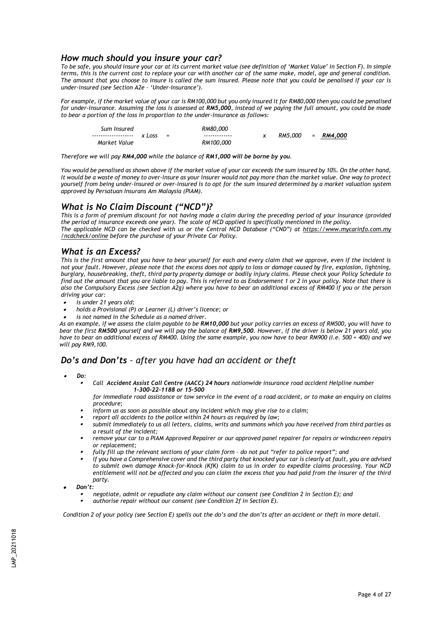# *How much should you insure your car?*

*To be safe, you should insure your car at its current market value (see definition of 'Market Value' in Section F). In simple terms, this is the current cost to replace your car with another car of the same make, model, age and general condition. The amount that you choose to insure is called the sum insured. Please note that you could be penalised if your car is under-insured (see Section A2e – 'Under-Insurance').*

*For example, if the market value of your car is RM100,000 but you only insured it for RM80,000 then you could be penalised for under-insurance. Assuming the loss is assessed at RM5,000, instead of we paying the full amount, you could be made to bear a portion of the loss in proportion to the under-insurance as follows:*

| Sum Insured          |        |     | RM80.000      |                     |  |
|----------------------|--------|-----|---------------|---------------------|--|
| -------------------- | x Loss | $=$ | ------------- | $RM5,000 = RM4,000$ |  |
| Market Value         |        |     | RM100.000     |                     |  |

*Therefore we will pay RM4,000 while the balance of RM1,000 will be borne by you.*

*You would be penalised as shown above if the market value of your car exceeds the sum insured by 10%. On the other hand, it would be a waste of money to over-insure as your insurer would not pay more than the market value. One way to protect yourself from being under-insured or over-insured is to opt for the sum insured determined by a market valuation system approved by Persatuan Insurans Am Malaysia (PIAM).* 

# *What is No Claim Discount ("NCD")?*

*This is a form of premium discount for not having made a claim during the preceding period of your insurance (provided the period of insurance exceeds one year). The scale of NCD applied is specifically mentioned in the policy.*

*The applicable NCD can be checked with us or the Central NCD Database ("CND") at https:/[/www.mycarinfo.com.my](http://www.mycarinfo.com.my/) /ncdcheck/online before the purchase of your Private Car Policy.* 

# *What is an Excess?*

*This is the first amount that you have to bear yourself for each and every claim that we approve, even if the incident is not your fault. However, please note that the excess does not apply to loss or damage caused by fire, explosion, lightning, burglary, housebreaking, theft, third party property damage or bodily injury claims. Please check your Policy Schedule to find out the amount that you are liable to pay. This is referred to as Endorsement 1 or 2 in your policy. Note that there is also the Compulsory Excess (see Section A2g) where you have to bear an additional excess of RM400 if you or the person driving your car:*

- •*is under 21 years old;*
- •*holds a Provisional (P) or Learner (L) driver's licence; or*
- •*is not named in the Schedule as a named driver.*

*As an example, if we assess the claim payable to be RM10,000 but your policy carries an excess of RM500, you will have to bear the first RM500 yourself and we will pay the balance of RM9,500. However, if the driver is below 21 years old, you have to bear an additional excess of RM400. Using the same example, you now have to bear RM900 (i.e. 500 + 400) and we will pay RM9,100.*

# *Do's and Don'ts – after you have had an accident or theft*

•*Do:*

▪

 *Call Accident Assist Call Centre (AACC) 24 hours nationwide insurance road accident Helpline number 1-300-22-1188 or 15-500*

*for immediate road assistance or tow service in the event of a road accident, or to make an enquiry on claims procedure;*

- ▪*inform us as soon as possible about any incident which may give rise to a claim;*
- ▪*report all accidents to the police within 24 hours as required by law;*
- ▪ *submit immediately to us all letters, claims, writs and summons which you have received from third parties as a result of the incident;*
- ▪ *remove your car to a PIAM Approved Repairer or our approved panel repairer for repairs or windscreen repairs or replacement;*
- ▪*fully fill up the relevant sections of your claim form – do not put "refer to police report"; and*
- ▪*if you have a Comprehensive cover and the third party that knocked your car is clearly at fault, you are advised to submit own damage Knock-for-Knock (KfK) claim to us in order to expedite claims processing. Your NCD entitlement will not be affected and you can claim the excess that you had paid from the insurer of the third party.*
- • *Don't:*
	- ▪*negotiate, admit or repudiate any claim without our consent (see Condition 2 in Section E); and*
	- ▪*authorise repair without our consent (see Condition 2f in Section E).*

*Condition 2 of your policy (see Section E) spells out the do's and the don'ts after an accident or theft in more detail.*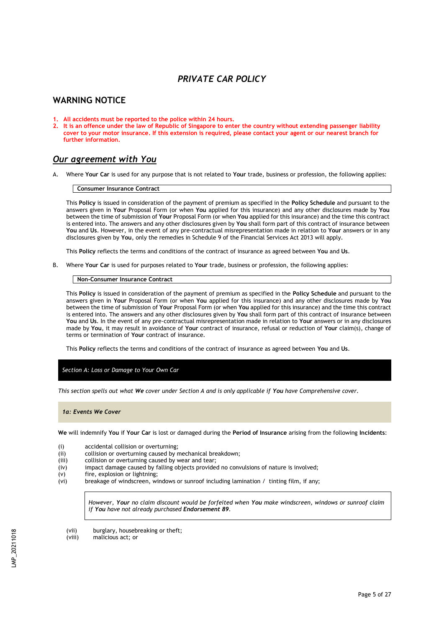# *PRIVATE CAR POLICY*

# **WARNING NOTICE**

- **1. All accidents must be reported to the police within 24 hours.**
- **2. It is an offence under the law of Republic of Singapore to enter the country without extending passenger liability cover to your motor insurance. If this extension is required, please contact your agent or our nearest branch for further information.**

# *Our agreement with You*

A. Where **Your Car** is used for any purpose that is not related to **Your** trade, business or profession, the following applies:

#### **Consumer Insurance Contract**

This **Policy** is issued in consideration of the payment of premium as specified in the **Policy Schedule** and pursuant to the answers given in **Your** Proposal Form (or when **You** applied for this insurance) and any other disclosures made by **You**  between the time of submission of **Your** Proposal Form (or when **You** applied for this insurance) and the time this contract is entered into. The answers and any other disclosures given by **You** shall form part of this contract of insurance between **You** and **Us**. However, in the event of any pre-contractual misrepresentation made in relation to **Your** answers or in any disclosures given by **You**, only the remedies in Schedule 9 of the Financial Services Act 2013 will apply.

This **Policy** reflects the terms and conditions of the contract of insurance as agreed between **You** and **Us**.

B. Where **Your Car** is used for purposes related to **Your** trade, business or profession, the following applies:

#### **Non-Consumer Insurance Contract**

This **Policy** is issued in consideration of the payment of premium as specified in the **Policy Schedule** and pursuant to the answers given in **Your** Proposal Form (or when **You** applied for this insurance) and any other disclosures made by **You** between the time of submission of **Your** Proposal Form (or when **You** applied for this insurance) and the time this contract is entered into. The answers and any other disclosures given by **You** shall form part of this contract of insurance between **You** and **Us**. In the event of any pre-contractual misrepresentation made in relation to **Your** answers or in any disclosures made by **You**, it may result in avoidance of **Your** contract of insurance, refusal or reduction of **Your** claim(s), change of terms or termination of **Your** contract of insurance.

This **Policy** reflects the terms and conditions of the contract of insurance as agreed between **You** and **Us**.

*Section A: Loss or Damage to Your Own Car* 

*This section spells out what We cover under Section A and is only applicable if You have Comprehensive cover.*

*1a: Events We Cover*

**We** will indemnify **You** if **Your Car** is lost or damaged during the **Period of Insurance** arising from the following **Incidents**:

- (i) accidental collision or overturning;<br>(ii) collision or overturning caused by r
- $(iii)$  collision or overturning caused by mechanical breakdown;<br> $(iii)$  collision or overturning caused by wear and tear;
- collision or overturning caused by wear and tear;
- (iv) impact damage caused by falling objects provided no convulsions of nature is involved;
- (v) fire, explosion or lightning;
- (vi) breakage of windscreen, windows or sunroof including lamination / tinting film, if any;

*However, Your no claim discount would be forfeited when You make windscreen, windows or sunroof claim if You have not already purchased Endorsement 89.*

- (vii) burglary, housebreaking or theft;<br>(viii) malicious act; or
- malicious act; or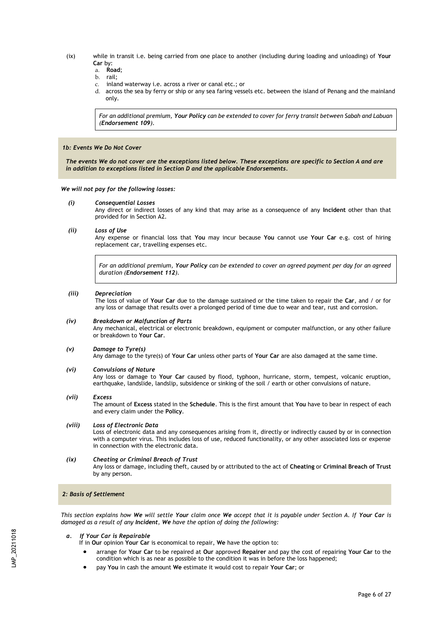- (ix) while in transit i.e. being carried from one place to another (including during loading and unloading) of **Your Car** by:
	- a. **Road**;
	-
	- b. rail; inland waterway i.e. across a river or canal etc.; or
	- d. across the sea by ferry or ship or any sea faring vessels etc. between the island of Penang and the mainland only.

*For an additional premium, Your Policy can be extended to cover for ferry transit between Sabah and Labuan (Endorsement 109).*

### *1b: Events We Do Not Cover*

 *The events We do not cover are the exceptions listed below. These exceptions are specific to Section A and are in addition to exceptions listed in Section D and the applicable Endorsements.*

#### *We will not pay for the following losses:*

*(i) Consequential Losses*

Any direct or indirect losses of any kind that may arise as a consequence of any **Incident** other than that provided for in Section A2.

*(ii) Loss of Use*

Any expense or financial loss that **You** may incur because **You** cannot use **Your Car** e.g. cost of hiring replacement car, travelling expenses etc.

*For an additional premium, Your Policy can be extended to cover an agreed payment per day for an agreed duration (Endorsement 112).*

#### *(iii) Depreciation*

The loss of value of **Your Car** due to the damage sustained or the time taken to repair the **Car**, and / or for any loss or damage that results over a prolonged period of time due to wear and tear, rust and corrosion.

#### *(iv) Breakdown or Malfunction of Parts*

Any mechanical, electrical or electronic breakdown, equipment or computer malfunction, or any other failure or breakdown to **Your Car**.

#### *(v) Damage to Tyre(s)*

Any damage to the tyre(s) of **Your Car** unless other parts of **Your Car** are also damaged at the same time.

### *(vi) Convulsions of Nature*

Any loss or damage to **Your Car** caused by flood, typhoon, hurricane, storm, tempest, volcanic eruption, earthquake, landslide, landslip, subsidence or sinking of the soil / earth or other convulsions of nature.

## *(vii) Excess*

The amount of **Excess** stated in the **Schedule**. This is the first amount that **You** have to bear in respect of each and every claim under the **Policy**.

# *(viii) Loss of Electronic Data*

Loss of electronic data and any consequences arising from it, directly or indirectly caused by or in connection with a computer virus. This includes loss of use, reduced functionality, or any other associated loss or expense in connection with the electronic data.

## *(ix) Cheating or Criminal Breach of Trust*

Any loss or damage, including theft, caused by or attributed to the act of **Cheating** or **Criminal Breach of Trust** by any person.

## *2: Basis of Settlement*

*This section explains how We will settle Your claim once We accept that it is payable under Section A. If Your Car is damaged as a result of any Incident, We have the option of doing the following:*

#### *a. If Your Car is Repairable*

- If in **Our** opinion **Your Car** is economical to repair, **We** have the option to:
- arrange for **Your Car** to be repaired at **Our** approved **Repairer** and pay the cost of repairing **Your Car** to the condition which is as near as possible to the condition it was in before the loss happened;
- pay **You** in cash the amount **We** estimate it would cost to repair **Your Car**; or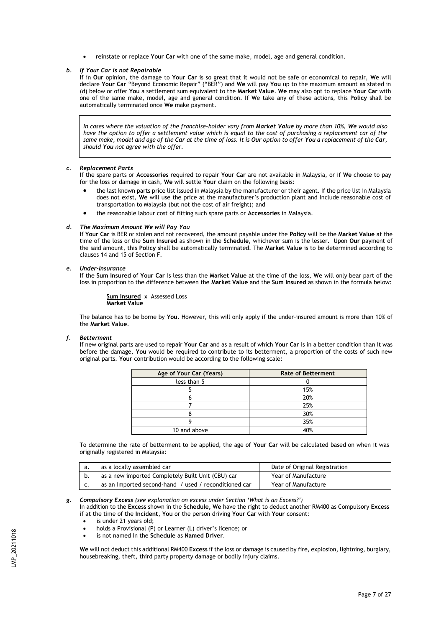• reinstate or replace **Your Car** with one of the same make, model, age and general condition.

### *b. If Your Car is not Repairable*

If in **Our** opinion, the damage to **Your Car** is so great that it would not be safe or economical to repair, **We** will declare **Your Car** "Beyond Economic Repair" ("BER") and **We** will pay **You** up to the maximum amount as stated in (d) below or offer **You** a settlement sum equivalent to the **Market Value**. **We** may also opt to replace **Your Car** with one of the same make, model, age and general condition. If **W**e take any of these actions, this **Policy** shall be automatically terminated once **We** make payment.

*In cases where the valuation of the franchise-holder vary from Market Value by more than 10%, We would also have the option to offer a settlement value which is equal to the cost of purchasing a replacement car of the same make, model and age of the Car at the time of loss. It is Our option to offer You a replacement of the Car, should You not agree with the offer.*

## *c. Replacement Parts*

If the spare parts or **Accessories** required to repair **Your Car** are not available in Malaysia, or if **We** choose to pay for the loss or damage in cash, **We** will settle **Your** claim on the following basis:

- the last known parts price list issued in Malaysia by the manufacturer or their agent. If the price list in Malaysia does not exist, **We** will use the price at the manufacturer's production plant and include reasonable cost of transportation to Malaysia (but not the cost of air freight); and
- the reasonable labour cost of fitting such spare parts or **Accessories** in Malaysia.

## *d. The Maximum Amount We will Pay You*

If **Your Car** is BER or stolen and not recovered, the amount payable under the **Policy** will be the **Market Value** at the time of the loss or the **Sum Insured** as shown in the **Schedule**, whichever sum is the lesser. Upon **Our** payment of the said amount, this **Policy** shall be automatically terminated. The **Market Value** is to be determined according to clauses 14 and 15 of Section F.

#### *e. Under-Insurance*

If the **Sum Insured** of **Your Car** is less than the **Market Value** at the time of the loss, **We** will only bear part of the loss in proportion to the difference between the **Market Value** and the **Sum Insured** as shown in the formula below:

**Sum Insured** x Assessed Loss **Market Value**

The balance has to be borne by **You**. However, this will only apply if the under-insured amount is more than 10% of the **Market Value**.

#### *f. Betterment*

If new original parts are used to repair **Your Car** and as a result of which **Your Car** is in a better condition than it was before the damage, **You** would be required to contribute to its betterment, a proportion of the costs of such new original parts. **Your** contribution would be according to the following scale:

| Age of Your Car (Years) | <b>Rate of Betterment</b> |
|-------------------------|---------------------------|
| less than 5             |                           |
|                         | 15%                       |
|                         | 20%                       |
|                         | 25%                       |
|                         | 30%                       |
|                         | 35%                       |
| 10 and above            | 40%                       |

To determine the rate of betterment to be applied, the age of **Your Car** will be calculated based on when it was originally registered in Malaysia:

| as a locally assembled car                            | Date of Original Registration |
|-------------------------------------------------------|-------------------------------|
| as a new imported Completely Built Unit (CBU) car     | Year of Manufacture           |
| as an imported second-hand / used / reconditioned car | Year of Manufacture           |

# *g. Compulsory Excess (see explanation on excess under Section 'What is an Excess?')*

In addition to the **Excess** shown in the **Schedule, We** have the right to deduct another RM400 as Compulsory **Excess** if at the time of the **Incident**, **You** or the person driving **Your Car** with **Your** consent:

- is under 21 years old;
- holds a Provisional (P) or Learner (L) driver's licence; or
- is not named in the **Schedule** as **Named Driver**.

**We** will not deduct this additional RM400 **Excess** if the loss or damage is caused by fire, explosion, lightning, burglary, housebreaking, theft, third party property damage or bodily injury claims.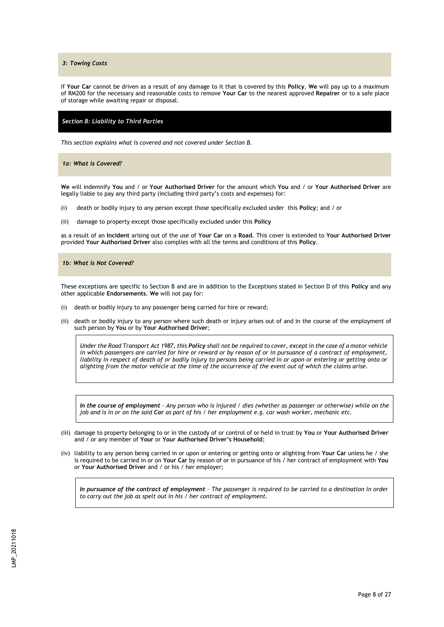*3: Towing Costs*

If **Your Car** cannot be driven as a result of any damage to it that is covered by this **Policy**, **We** will pay up to a maximum of RM200 for the necessary and reasonable costs to remove **Your Car** to the nearest approved **Repairer** or to a safe place of storage while awaiting repair or disposal.

### *Section B: Liability to Third Parties*

*This section explains what is covered and not covered under Section B.*

*1a: What is Covered?*

**We** will indemnify **You** and / or **Your Authorised Driver** for the amount which **You** and / or **Your Authorised Driver** are legally liable to pay any third party (including third party's costs and expenses) for:

- (i) death or bodily injury to any person except those specifically excluded under this **Policy**; and / or
- (ii) damage to property except those specifically excluded under this **Policy**

as a result of an **Incident** arising out of the use of **Your Car** on a **Road**. This cover is extended to **Your Authorised Driver**  provided **Your Authorised Driver** also complies with all the terms and conditions of this **Policy**.

### *1b: What is Not Covered?*

These exceptions are specific to Section B and are in addition to the Exceptions stated in Section D of this **Policy** and any other applicable **Endorsements**. **We** will not pay for:

- (i) death or bodily injury to any passenger being carried for hire or reward;
- (ii) death or bodily injury to any person where such death or injury arises out of and in the course of the employment of such person by **You** or by **Your Authorised Driver**;

*Under the Road Transport Act 1987, this Policy shall not be required to cover, except in the case of a motor vehicle*  in which passengers are carried for hire or reward or by reason of or in pursuance of a contract of employment, liability in respect of death of or bodily injury to persons being carried in or upon or entering or getting onto or *alighting from the motor vehicle at the time of the occurrence of the event out of which the claims arise.*

*In the course of employment – Any person who is injured / dies (whether as passenger or otherwise) while on the job and is in or on the said Car as part of his / her employment e.g. car wash worker, mechanic etc.*

- (iii) damage to property belonging to or in the custody of or control of or held in trust by **You** or **Your Authorised Driver** and / or any member of **Your** or **Your Authorised Driver's Household**;
- (iv) liability to any person being carried in or upon or entering or getting onto or alighting from **Your Car** unless he / she is required to be carried in or on **Your Car** by reason of or in pursuance of his / her contract of employment with **You**  or **Your Authorised Driver** and / or his / her employer;

*In pursuance of the contract of employment – The passenger is required to be carried to a destination in order to carry out the job as spelt out in his / her contract of employment.*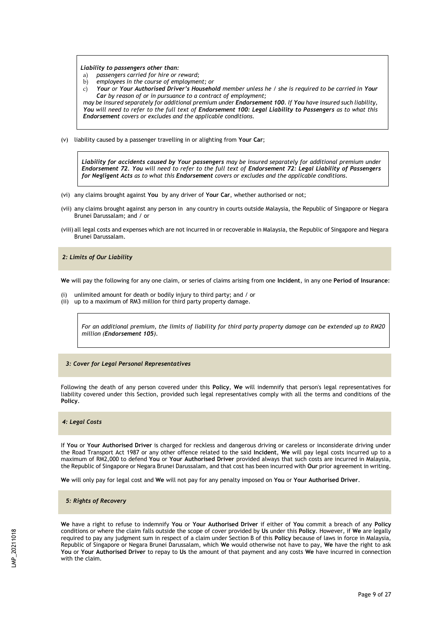#### *Liability to passengers other than:*

- a) *passengers carried for hire or reward;*
- b) *employees in the course of employment; or*

c) *Your or Your Authorised Driver's Household member unless he / she is required to be carried in Your Car by reason of or in pursuance to a contract of employment;*

*may be insured separately for additional premium under Endorsement 100. If You have insured such liability, You will need to refer to the full text of Endorsement 100: Legal Liability to Passengers as to what this Endorsement covers or excludes and the applicable conditions.* 

(v) liability caused by a passenger travelling in or alighting from **Your Car**;

*Liability for accidents caused by Your passengers may be insured separately for additional premium under Endorsement 72. You will need to refer to the full text of Endorsement 72: Legal Liability of Passengers for Negligent Acts as to what this Endorsement covers or excludes and the applicable conditions.*

- (vi) any claims brought against **You** by any driver of **Your Car**, whether authorised or not;
- (vii) any claims brought against any person in any country in courts outside Malaysia, the Republic of Singapore or Negara Brunei Darussalam; and / or
- (viii) all legal costs and expenses which are not incurred in or recoverable in Malaysia, the Republic of Singapore and Negara Brunei Darussalam.

## *2: Limits of Our Liability*

**We** will pay the following for any one claim, or series of claims arising from one **Incident**, in any one **Period of Insurance**:

- (i) unlimited amount for death or bodily injury to third party; and / or
- (ii) up to a maximum of RM3 million for third party property damage.

*For an additional premium, the limits of liability for third party property damage can be extended up to RM20 million (Endorsement 105).* 

## *3: Cover for Legal Personal Representatives*

Following the death of any person covered under this **Policy**, **We** will indemnify that person's legal representatives for liability covered under this Section, provided such legal representatives comply with all the terms and conditions of the **Policy**.

#### *4: Legal Costs*

If **You** or **Your Authorised Driver** is charged for reckless and dangerous driving or careless or inconsiderate driving under the Road Transport Act 1987 or any other offence related to the said **Incident**, **We** will pay legal costs incurred up to a maximum of RM2,000 to defend **You** or **Your Authorised Driver** provided always that such costs are incurred in Malaysia, the Republic of Singapore or Negara Brunei Darussalam, and that cost has been incurred with **Our** prior agreement in writing.

**We** will only pay for legal cost and **We** will not pay for any penalty imposed on **You** or **Your Authorised Driver**.

 *5: Rights of Recovery*

**We** have a right to refuse to indemnify **You** or **Your Authorised Driver** if either of **You** commit a breach of any **Policy** conditions or where the claim falls outside the scope of cover provided by **Us** under this **Policy**. However, if **We** are legally required to pay any judgment sum in respect of a claim under Section B of this **Policy** because of laws in force in Malaysia, Republic of Singapore or Negara Brunei Darussalam, which **We** would otherwise not have to pay, **We** have the right to ask **You** or **Your Authorised Driver** to repay to **Us** the amount of that payment and any costs **We** have incurred in connection with the claim.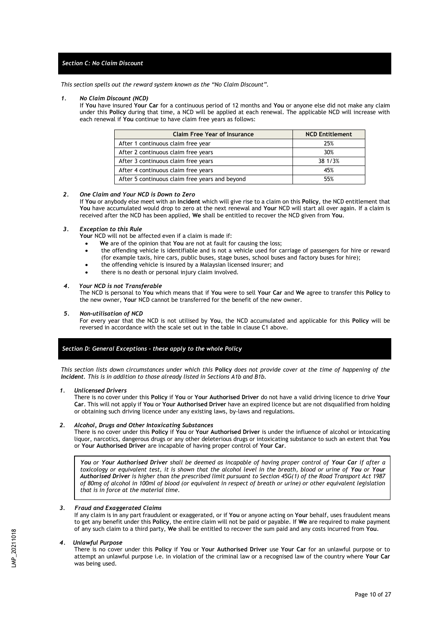# *Section C: No Claim Discount*

*This section spells out the reward system known as the "No Claim Discount".*

#### *1. No Claim Discount (NCD)*

If **You** have insured **Your Car** for a continuous period of 12 months and **You** or anyone else did not make any claim under this **Policy** during that time, a NCD will be applied at each renewal. The applicable NCD will increase with each renewal if **You** continue to have claim free years as follows:

| <b>Claim Free Year of Insurance</b>            | <b>NCD Entitlement</b> |
|------------------------------------------------|------------------------|
| After 1 continuous claim free year             | 25%                    |
| After 2 continuous claim free years            | 30%                    |
| After 3 continuous claim free years            | 38 1/3%                |
| After 4 continuous claim free years            | 45%                    |
| After 5 continuous claim free years and beyond | 55%                    |

## *2. One Claim and Your NCD is Down to Zero*

If **You** or anybody else meet with an **Incident** which will give rise to a claim on this **Policy**, the NCD entitlement that **You** have accumulated would drop to zero at the next renewal and **Your** NCD will start all over again. If a claim is received after the NCD has been applied, **We** shall be entitled to recover the NCD given from **You**.

#### *3. Exception to this Rule*

**Your** NCD will not be affected even if a claim is made if:

- **We** are of the opinion that **You** are not at fault for causing the loss;
- the offending vehicle is identifiable and is not a vehicle used for carriage of passengers for hire or reward (for example taxis, hire cars, public buses, stage buses, school buses and factory buses for hire);
- the offending vehicle is insured by a Malaysian licensed insurer; and
- there is no death or personal injury claim involved.

#### *4. Your NCD is not Transferable*

The NCD is personal to **You** which means that if **You** were to sell **Your Car** and **We** agree to transfer this **Policy** to the new owner, **Your** NCD cannot be transferred for the benefit of the new owner.

#### *5. Non-utilisation of NCD*

For every year that the NCD is not utilised by **You**, the NCD accumulated and applicable for this **Policy** will be reversed in accordance with the scale set out in the table in clause C1 above.

# *Section D: General Exceptions - these apply to the whole Policy*

*This section lists down circumstances under which this* **Policy** *does not provide cover at the time of happening of the Incident. This is in addition to those already listed in Sections A1b and B1b.*

#### *1. Unlicensed Drivers*

There is no cover under this **Policy** if **You** or **Your Authorised Driver** do not have a valid driving licence to drive **Your Car**. This will not apply if **You** or **Your Authorised Driver** have an expired licence but are not disqualified from holding or obtaining such driving licence under any existing laws, by-laws and regulations.

#### *2. Alcohol, Drugs and Other Intoxicating Substances*

There is no cover under this **Policy** if **You** or **Your Authorised Driver** is under the influence of alcohol or intoxicating liquor, narcotics, dangerous drugs or any other deleterious drugs or intoxicating substance to such an extent that **You** or **Your Authorised Driver** are incapable of having proper control of **Your Car**.

*You or Your Authorised Driver shall be deemed as incapable of having proper control of Your Car if after a toxicology or equivalent test, it is shown that the alcohol level in the breath, blood or urine of You or Your Authorised Driver is higher than the prescribed limit pursuant to Section 45G(1) of the Road Transport Act 1987 of 80mg of alcohol in 100ml of blood (or equivalent in respect of breath or urine) or other equivalent legislation that is in force at the material time.*

#### *3. Fraud and Exaggerated Claims*

If any claim is in any part fraudulent or exaggerated, or if **You** or anyone acting on **Your** behalf, uses fraudulent means to get any benefit under this **Policy**, the entire claim will not be paid or payable. If **We** are required to make payment of any such claim to a third party, **We** shall be entitled to recover the sum paid and any costs incurred from **You**.

#### *4. Unlawful Purpose*

There is no cover under this **Policy** if **You** or **Your Authorised Driver** use **Your Car** for an unlawful purpose or to attempt an unlawful purpose i.e. in violation of the criminal law or a recognised law of the country where **Your Car** was being used.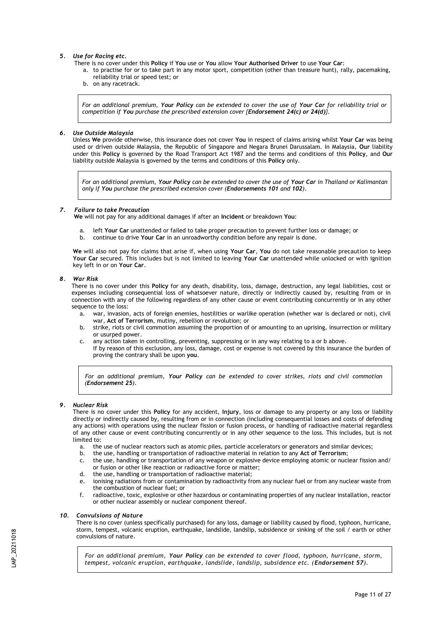### *5. Use for Racing etc.*

- There is no cover under this **Policy** if **You** use or **You** allow **Your Authorised Driver** to use **Your Car**:
	- a. to practise for or to take part in any motor sport, competition (other than treasure hunt), rally, pacemaking, reliability trial or speed test; or
	- b. on any racetrack.

*For an additional premium, Your Policy can be extended to cover the use of Your Car for reliability trial or competition if You purchase the prescribed extension cover {Endorsement 24(c) or 24(d)}.*

## *6. Use Outside Malaysia*

Unless **We** provide otherwise, this insurance does not cover **You** in respect of claims arising whilst **Your Car** was being used or driven outside Malaysia, the Republic of Singapore and Negara Brunei Darussalam. In Malaysia, **Our** liability under this **Policy** is governed by the Road Transport Act 1987 and the terms and conditions of this **Policy**, and **Our** liability outside Malaysia is governed by the terms and conditions of this **Policy** only.

*For an additional premium, Your Policy can be extended to cover the use of Your Car in Thailand or Kalimantan only if You purchase the prescribed extension cover (Endorsements 101 and 102).*

## *7. Failure to take Precaution*

**We** will not pay for any additional damages if after an **Incident** or breakdown **You**:

- a. left **Your Car** unattended or failed to take proper precaution to prevent further loss or damage; or
- b. continue to drive **Your Car** in an unroadworthy condition before any repair is done.

**We** will also not pay for claims that arise if, when using **Your Car**, **You** do not take reasonable precaution to keep **Your Car** secured. This includes but is not limited to leaving **Your Car** unattended while unlocked or with ignition key left in or on **Your Car**.

#### *8. War Risk*

There is no cover under this **Policy** for any death, disability, loss, damage, destruction, any legal liabilities, cost or expenses including consequential loss of whatsoever nature, directly or indirectly caused by, resulting from or in connection with any of the following regardless of any other cause or event contributing concurrently or in any other sequence to the loss:

- a. war, invasion, acts of foreign enemies, hostilities or warlike operation (whether war is declared or not), civil war, **Act of Terrorism**, mutiny, rebellion or revolution; or
- b. strike, riots or civil commotion assuming the proportion of or amounting to an uprising, insurrection or military or usurped power.
- c. any action taken in controlling, preventing, suppressing or in any way relating to a or b above. If by reason of this exclusion, any loss, damage, cost or expense is not covered by this insurance the burden of proving the contrary shall be upon **you**.

*For an additional premium, Your Policy can be extended to cover strikes, riots and civil commotion (Endorsement 25).*

#### *9. Nuclear Risk*

There is no cover under this **Policy** for any accident, **Injury**, loss or damage to any property or any loss or liability directly or indirectly caused by, resulting from or in connection (including consequential losses and costs of defending any actions) with operations using the nuclear fission or fusion process, or handling of radioactive material regardless of any other cause or event contributing concurrently or in any other sequence to the loss. This includes, but is not limited to:

- a. the use of nuclear reactors such as atomic piles, particle accelerators or generators and similar devices;
- b. the use, handling or transportation of radioactive material in relation to any **Act of Terrorism**;
- c. the use, handling or transportation of any weapon or explosive device employing atomic or nuclear fission and/ or fusion or other like reaction or radioactive force or matter;
- d. the use, handling or transportation of radioactive material;
- e. ionising radiations from or contamination by radioactivity from any nuclear fuel or from any nuclear waste from the combustion of nuclear fuel; or
- f. radioactive, toxic, explosive or other hazardous or contaminating properties of any nuclear installation, reactor or other nuclear assembly or nuclear component thereof.

## *10. Convulsions of Nature*

There is no cover (unless specifically purchased) for any loss, damage or liability caused by flood, typhoon, hurricane, storm, tempest, volcanic eruption, earthquake, landslide, landslip, subsidence or sinking of the soil / earth or other convulsions of nature.

*For an additional premium, Your Policy can be extended to cover flood, typhoon, hurricane, storm, tempest, volcanic eruption, earthquake, landslide, landslip, subsidence etc. (Endorsement 57).*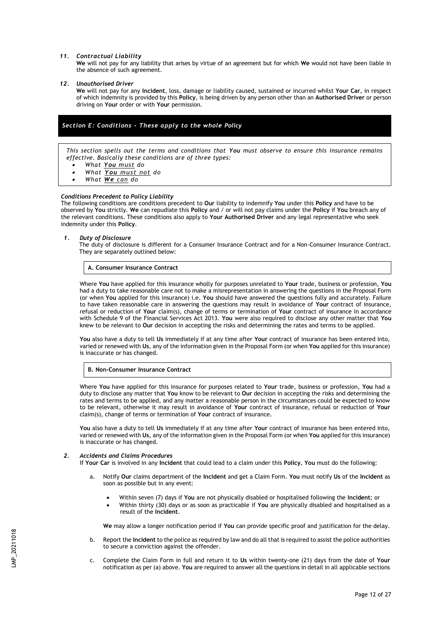#### *11. Contractual Liability*

**We** will not pay for any liability that arises by virtue of an agreement but for which **We** would not have been liable in the absence of such agreement.

#### *12. Unauthorised Driver*

**We** will not pay for any **Incident**, loss, damage or liability caused, sustained or incurred whilst **Your Car**, in respect of which indemnity is provided by this **Policy**, is being driven by any person other than an **Authorised Driver** or person driving on **Your** order or with **Your** permission.

# *Section E: Conditions - These apply to the whole Policy*

*This section spells out the terms and conditions that You must observe to ensure this insurance remains effective. Basically these conditions are of three types:*

- •*What You must do*
- •*What You must not do*
- •*What We can do*

#### *Conditions Precedent to Policy Liability*

The following conditions are conditions precedent to **Our** liability to indemnify **You** under this **Policy** and have to be observed by **You** strictly. **We** can repudiate this **Policy** and / or will not pay claims under the **Policy** if **You** breach any of the relevant conditions. These conditions also apply to **Your Authorised Driver** and any legal representative who seek indemnity under this **Policy**.

#### *1. Duty of Disclosure*

The duty of disclosure is different for a Consumer Insurance Contract and for a Non-Consumer Insurance Contract. They are separately outlined below:

#### **A. Consumer Insurance Contract**

Where **You** have applied for this insurance wholly for purposes unrelated to **Your** trade, business or profession, **You** had a duty to take reasonable care not to make a misrepresentation in answering the questions in the Proposal Form (or when **You** applied for this insurance) i.e. **You** should have answered the questions fully and accurately. Failure to have taken reasonable care in answering the questions may result in avoidance of **Your** contract of insurance, refusal or reduction of **Your** claim(s), change of terms or termination of **Your** contract of insurance in accordance with Schedule 9 of the Financial Services Act 2013. **You** were also required to disclose any other matter that **You** knew to be relevant to **Our** decision in accepting the risks and determining the rates and terms to be applied.

**You** also have a duty to tell **Us** immediately if at any time after **Your** contract of insurance has been entered into, varied or renewed with **Us**, any of the information given in the Proposal Form (or when **You** applied for this insurance) is inaccurate or has changed.

#### **B. Non-Consumer Insurance Contract**

Where **You** have applied for this insurance for purposes related to **Your** trade, business or profession, **You** had a duty to disclose any matter that **You** know to be relevant to **Our** decision in accepting the risks and determining the rates and terms to be applied, and any matter a reasonable person in the circumstances could be expected to know to be relevant, otherwise it may result in avoidance of **Your** contract of insurance, refusal or reduction of **Your** claim(s), change of terms or termination of **Your** contract of insurance.

**You** also have a duty to tell **Us** immediately if at any time after **Your** contract of insurance has been entered into, varied or renewed with **Us**, any of the information given in the Proposal Form (or when **You** applied for this insurance) is inaccurate or has changed.

#### *2. Accidents and Claims Procedures*

If **Your Car** is involved in any **Incident** that could lead to a claim under this **Policy**, **You** must do the following:

- a. Notify **Our** claims department of the **Incident** and get a Claim Form. **You** must notify **Us** of the **Incident** as soon as possible but in any event:
	- Within seven (7) days if **You** are not physically disabled or hospitalised following the **Incident**; or
		- Within thirty (30) days or as soon as practicable if **You** are physically disabled and hospitalised as a result of the **Incident**.

**We** may allow a longer notification period if **You** can provide specific proof and justification for the delay.

- b. Report the **Incident** to the police as required by law and do all that is required to assist the police authorities to secure a conviction against the offender.
- c. Complete the Claim Form in full and return it to **Us** within twenty-one (21) days from the date of **Your**  notification as per (a) above. **You** are required to answer all the questions in detail in all applicable sections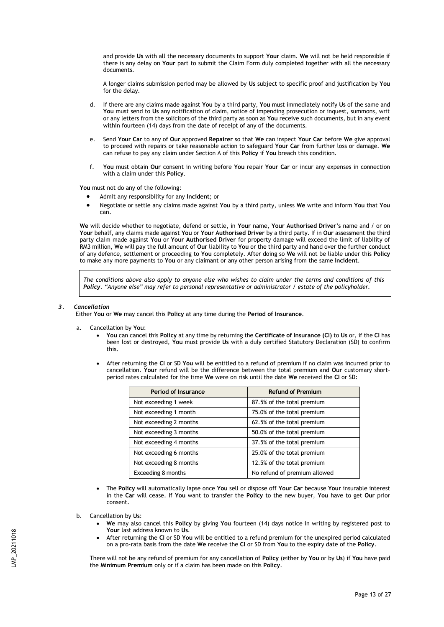and provide **Us** with all the necessary documents to support **Your** claim. **We** will not be held responsible if there is any delay on **Your** part to submit the Claim Form duly completed together with all the necessary documents.

A longer claims submission period may be allowed by **Us** subject to specific proof and justification by **You** for the delay.

- d. If there are any claims made against **You** by a third party, **You** must immediately notify **Us** of the same and **You** must send to **Us** any notification of claim, notice of impending prosecution or inquest, summons, writ or any letters from the solicitors of the third party as soon as **You** receive such documents, but in any event within fourteen (14) days from the date of receipt of any of the documents.
- e. Send **Your Car** to any of **Our** approved **Repairer** so that **We** can inspect **Your Car** before **We** give approval to proceed with repairs or take reasonable action to safeguard **Your Car** from further loss or damage. **We** can refuse to pay any claim under Section A of this **Policy** if **You** breach this condition.
- f. **You** must obtain **Our** consent in writing before **You** repair **Your Car** or incur any expenses in connection with a claim under this **Policy**.

**You** must not do any of the following:

- Admit any responsibility for any **Incident**; or
- Negotiate or settle any claims made against **You** by a third party, unless **We** write and inform **You** that **You**  can.

**We** will decide whether to negotiate, defend or settle, in **Your** name, **Your Authorised Driver's** name and / or on **Your** behalf, any claims made against **You** or **Your Authorised Driver** by a third party. If in **Our** assessment the third party claim made against **You** or **Your Authorised Driver** for property damage will exceed the limit of liability of RM3 million, **We** will pay the full amount of **Our** liability to **You** or the third party and hand over the further conduct of any defence, settlement or proceeding to **You** completely. After doing so **We** will not be liable under this **Policy** to make any more payments to **You** or any claimant or any other person arising from the same **Incident**.

*The conditions above also apply to anyone else who wishes to claim under the terms and conditions of this Policy. "Anyone else" may refer to personal representative or administrator / estate of the policyholder.* 

#### *3. Cancellation*

Either **You** or **We** may cancel this **Policy** at any time during the **Period of Insurance**.

- a. Cancellation by **You**:
	- **You** can cancel this **Policy** at any time by returning the **Certificate of Insurance (CI)** to **Us** or, if the **CI** has been lost or destroyed, **You** must provide **Us** with a duly certified Statutory Declaration (SD) to confirm this.
	- After returning the **CI** or SD **You** will be entitled to a refund of premium if no claim was incurred prior to cancellation. **Your** refund will be the difference between the total premium and **Our** customary shortperiod rates calculated for the time **We** were on risk until the date **We** received the **CI** or SD:

| <b>Period of Insurance</b> | <b>Refund of Premium</b>     |
|----------------------------|------------------------------|
| Not exceeding 1 week       | 87.5% of the total premium   |
| Not exceeding 1 month      | 75.0% of the total premium   |
| Not exceeding 2 months     | 62.5% of the total premium   |
| Not exceeding 3 months     | 50.0% of the total premium   |
| Not exceeding 4 months     | 37.5% of the total premium   |
| Not exceeding 6 months     | 25.0% of the total premium   |
| Not exceeding 8 months     | 12.5% of the total premium   |
| Exceeding 8 months         | No refund of premium allowed |

- The **Policy** will automatically lapse once **You** sell or dispose off **Your Car** because **Your** insurable interest in the **Car** will cease. If **You** want to transfer the **Policy** to the new buyer, **You** have to get **Our** prior consent.
- b. Cancellation by **Us**:
	- **We** may also cancel this **Policy** by giving **You** fourteen (14) days notice in writing by registered post to **Your** last address known to **Us**.
	- After returning the **CI** or SD **You** will be entitled to a refund premium for the unexpired period calculated on a pro-rata basis from the date **We** receive the **CI** or SD from **You** to the expiry date of the **Policy**.

There will not be any refund of premium for any cancellation of **Policy** (either by **You** or by **Us**) if **You** have paid the **Minimum Premium** only or if a claim has been made on this **Policy**.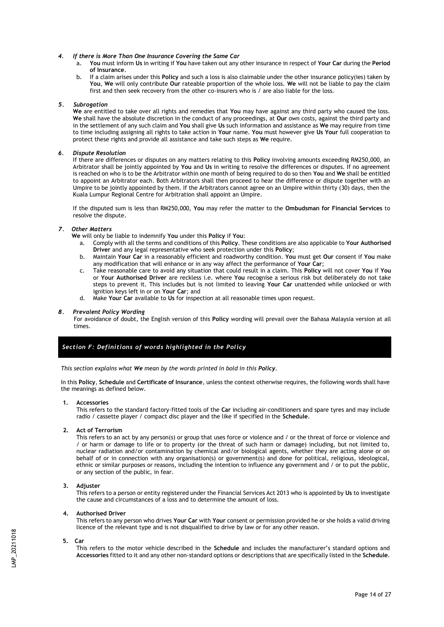#### *4. If there is More Than One Insurance Covering the Same Car*

- a. **You** must inform **Us** in writing if **You** have taken out any other insurance in respect of **Your Car** during the **Period of Insurance**.
- b. If a claim arises under this **Policy** and such a loss is also claimable under the other insurance policy(ies) taken by **You**, **We** will only contribute **Our** rateable proportion of the whole loss. **We** will not be liable to pay the claim first and then seek recovery from the other co-insurers who is / are also liable for the loss.

### *5. Subrogation*

**We** are entitled to take over all rights and remedies that **You** may have against any third party who caused the loss. **We** shall have the absolute discretion in the conduct of any proceedings, at **Our** own costs, against the third party and in the settlement of any such claim and **You** shall give **Us** such information and assistance as **We** may require from time to time including assigning all rights to take action in **Your** name. **You** must however give **Us Your** full cooperation to protect these rights and provide all assistance and take such steps as **We** require.

#### *6. Dispute Resolution*

If there are differences or disputes on any matters relating to this **Policy** involving amounts exceeding RM250,000, an Arbitrator shall be jointly appointed by **You** and **Us** in writing to resolve the differences or disputes. If no agreement is reached on who is to be the Arbitrator within one month of being required to do so then **You** and **We** shall be entitled to appoint an Arbitrator each. Both Arbitrators shall then proceed to hear the difference or dispute together with an Umpire to be jointly appointed by them. If the Arbitrators cannot agree on an Umpire within thirty (30) days, then the Kuala Lumpur Regional Centre for Arbitration shall appoint an Umpire.

If the disputed sum is less than RM250,000, **You** may refer the matter to the **Ombudsman for Financial Services** to resolve the dispute.

## *7. Other Matters*

**We** will only be liable to indemnify **You** under this **Policy** if **You**:

- a. Comply with all the terms and conditions of this **Policy**. These conditions are also applicable to **Your Authorised Driver** and any legal representative who seek protection under this **Policy**;
- b. Maintain **Your Car** in a reasonably efficient and roadworthy condition. **You** must get **Our** consent if **You** make any modification that will enhance or in any way affect the performance of **Your Car**;
- c. Take reasonable care to avoid any situation that could result in a claim. This **Policy** will not cover **You** if **You** or **Your Authorised Driver** are reckless i.e. where **You** recognise a serious risk but deliberately do not take steps to prevent it. This includes but is not limited to leaving **Your Car** unattended while unlocked or with ignition keys left in or on **Your Car**; and
- d. Make **Your Car** available to **Us** for inspection at all reasonable times upon request.

## *8. Prevalent Policy Wording*

For avoidance of doubt, the English version of this **Policy** wording will prevail over the Bahasa Malaysia version at all times.

# *Section F: Definitions of words highlighted in the Policy*

*This section explains what We mean by the words printed in bold in this Policy.*

In this **Policy**, **Schedule** and **Certificate of Insurance**, unless the context otherwise requires, the following words shall have the meanings as defined below.

#### **1. Accessories**

This refers to the standard factory-fitted tools of the **Car** including air-conditioners and spare tyres and may include radio / cassette player / compact disc player and the like if specified in the **Schedule**.

#### **2. Act of Terrorism**

This refers to an act by any person(s) or group that uses force or violence and / or the threat of force or violence and / or harm or damage to life or to property (or the threat of such harm or damage) including, but not limited to, nuclear radiation and/or contamination by chemical and/or biological agents, whether they are acting alone or on behalf of or in connection with any organisation(s) or government(s) and done for political, religious, ideological, ethnic or similar purposes or reasons, including the intention to influence any government and / or to put the public, or any section of the public, in fear.

#### **3. Adjuster**

This refers to a person or entity registered under the Financial Services Act 2013 who is appointed by **Us** to investigate the cause and circumstances of a loss and to determine the amount of loss.

#### **4. Authorised Driver**

This refers to any person who drives **Your Car** with **Your** consent or permission provided he or she holds a valid driving licence of the relevant type and is not disqualified to drive by law or for any other reason.

#### **5. Car**

This refers to the motor vehicle described in the **Schedule** and includes the manufacturer's standard options and **Accessories** fitted to it and any other non-standard options or descriptions that are specifically listed in the **Schedule**.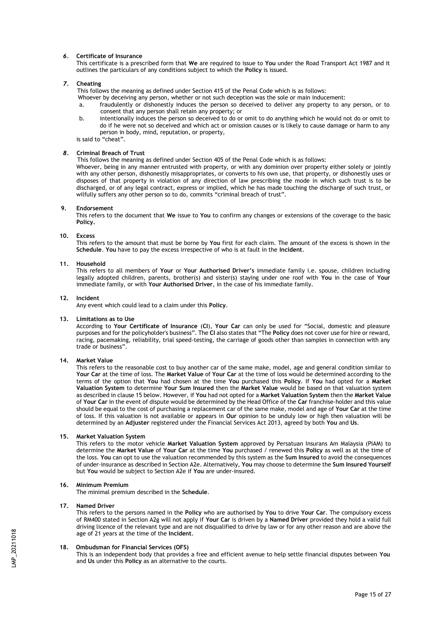## *6.* **Certificate of Insurance**

This certificate is a prescribed form that **We** are required to issue to **You** under the Road Transport Act 1987 and it outlines the particulars of any conditions subject to which the **Policy** is issued.

#### *7.* **Cheating**

This follows the meaning as defined under Section 415 of the Penal Code which is as follows:

- Whoever by deceiving any person, whether or not such deception was the sole or main inducement:
- a. fraudulently or dishonestly induces the person so deceived to deliver any property to any person, or to consent that any person shall retain any property; or
- b. intentionally induces the person so deceived to do or omit to do anything which he would not do or omit to do if he were not so deceived and which act or omission causes or is likely to cause damage or harm to any person in body, mind, reputation, or property,

is said to "cheat".

## *8.* **Criminal Breach of Trust**

This follows the meaning as defined under Section 405 of the Penal Code which is as follows:

Whoever, being in any manner entrusted with property, or with any dominion over property either solely or jointly with any other person, dishonestly misappropriates, or converts to his own use, that property, or dishonestly uses or disposes of that property in violation of any direction of law prescribing the mode in which such trust is to be discharged, or of any legal contract, express or implied, which he has made touching the discharge of such trust, or wilfully suffers any other person so to do, commits "criminal breach of trust".

#### **9. Endorsement**

This refers to the document that **We** issue to **You** to confirm any changes or extensions of the coverage to the basic **Policy.**

#### **10. Excess**

This refers to the amount that must be borne by **You** first for each claim. The amount of the excess is shown in the **Schedule**. **You** have to pay the excess irrespective of who is at fault in the **Incident**.

### **11. Household**

This refers to all members of **Your** or **Your Authorised Driver's** immediate family i.e. spouse, children including legally adopted children, parents, brother(s) and sister(s) staying under one roof with **You** in the case of **Your** immediate family, or with **Your Authorised Driver**, in the case of his immediate family.

#### **12. Incident**

Any event which could lead to a claim under this **Policy**.

#### **13. Limitations as to Use**

According to **Your Certificate of Insurance** (**CI**), **Your Car** can only be used for "Social, domestic and pleasure purposes and for the policyholder's business". The **CI** also states that "The **Policy** does not cover use for hire or reward, racing, pacemaking, reliability, trial speed-testing, the carriage of goods other than samples in connection with any trade or business".

### **14. Market Value**

This refers to the reasonable cost to buy another car of the same make, model, age and general condition similar to **Your Car** at the time of loss. The **Market Value** of **Your Car** at the time of loss would be determined according to the terms of the option that **You** had chosen at the time **You** purchased this **Policy**. If **You** had opted for a **Market Valuation System** to determine **Your Sum Insured** then the **Market Value** would be based on that valuation system as described in clause 15 below. However, if **You** had not opted for a **Market Valuation System** then the **Market Value** of **Your Car** in the event of dispute would be determined by the Head Office of the **Car** franchise-holder and this value should be equal to the cost of purchasing a replacement car of the same make, model and age of **Your Car** at the time of loss. If this valuation is not available or appears in **Our** opinion to be unduly low or high then valuation will be determined by an **Adjuster** registered under the Financial Services Act 2013, agreed by both **You** and **Us**.

### **15. Market Valuation System**

This refers to the motor vehicle **Market Valuation System** approved by Persatuan Insurans Am Malaysia (PIAM) to determine the **Market Value** of **Your Car** at the time **You** purchased / renewed this **Policy** as well as at the time of the loss. **You** can opt to use the valuation recommended by this system as the **Sum Insured** to avoid the consequences of under-insurance as described in Section A2e. Alternatively, **You** may choose to determine the **Sum Insured Yourself** but **You** would be subject to Section A2e if **You** are under-insured.

## **16. Minimum Premium**

The minimal premium described in the **Schedule**.

#### **17. Named Driver**

This refers to the persons named in the **Policy** who are authorised by **You** to drive **Your Car**. The compulsory excess of RM400 stated in Section A2g will not apply if **Your Car** is driven by a **Named Driver** provided they hold a valid full driving licence of the relevant type and are not disqualified to drive by law or for any other reason and are above the age of 21 years at the time of the **Incident**.

#### **18. Ombudsman for Financial Services (OFS)**

This is an independent body that provides a free and efficient avenue to help settle financial disputes between **You** and **Us** under this **Policy** as an alternative to the courts.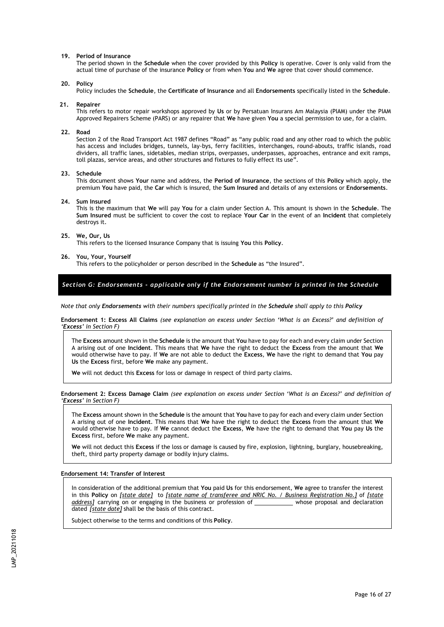#### **19. Period of Insurance**

The period shown in the **Schedule** when the cover provided by this **Policy** is operative. Cover is only valid from the actual time of purchase of the insurance **Policy** or from when **You** and **We** agree that cover should commence.

#### **20. Policy**

Policy includes the **Schedule**, the **Certificate of Insurance** and all **Endorsements** specifically listed in the **Schedule**.

#### **21. Repairer**

This refers to motor repair workshops approved by **Us** or by Persatuan Insurans Am Malaysia (PIAM) under the PIAM Approved Repairers Scheme (PARS) or any repairer that **We** have given **You** a special permission to use, for a claim.

#### **22. Road**

Section 2 of the Road Transport Act 1987 defines "Road" as "any public road and any other road to which the public has access and includes bridges, tunnels, lay-bys, ferry facilities, interchanges, round-abouts, traffic islands, road dividers, all traffic lanes, sidetables, median strips, overpasses, underpasses, approaches, entrance and exit ramps, toll plazas, service areas, and other structures and fixtures to fully effect its use".

#### **23. Schedule**

This document shows **Your** name and address, the **Period of Insurance**, the sections of this **Policy** which apply, the premium **You** have paid, the **Car** which is insured, the **Sum Insured** and details of any extensions or **Endorsements**.

#### **24. Sum Insured**

This is the maximum that **We** will pay **You** for a claim under Section A. This amount is shown in the **Schedule**. The **Sum Insured** must be sufficient to cover the cost to replace **Your Car** in the event of an **Incident** that completely destroys it.

#### **25. We, Our, Us**

This refers to the licensed Insurance Company that is issuing **You** this **Policy**.

#### **26. You, Your, Yourself**

This refers to the policyholder or person described in the **Schedule** as "the Insured".

*Section G: Endorsements - applicable only if the Endorsement number is printed in the Schedule*

*Note that only Endorsements with their numbers specifically printed in the Schedule shall apply to this Policy*

**Endorsement 1: Excess All Claims** *(see explanation on excess under Section 'What is an Excess?' and definition of 'Excess' in Section F)*

The **Excess** amount shown in the **Schedule** is the amount that **You** have to pay for each and every claim under Section A arising out of one **Incident**. This means that **We** have the right to deduct the **Excess** from the amount that **We**  would otherwise have to pay. If **We** are not able to deduct the **Excess**, **We** have the right to demand that **You** pay **Us** the **Excess** first, before **We** make any payment.

**We** will not deduct this **Excess** for loss or damage in respect of third party claims.

**Endorsement 2: Excess Damage Claim** *(see explanation on excess under Section 'What is an Excess?' and definition of 'Excess' in Section F)*

The **Excess** amount shown in the **Schedule** is the amount that **You** have to pay for each and every claim under Section A arising out of one **Incident**. This means that **We** have the right to deduct the **Excess** from the amount that **We**  would otherwise have to pay. If **We** cannot deduct the **Excess**, **We** have the right to demand that **You** pay **Us** the **Excess** first, before **We** make any payment.

**We** will not deduct this **Excess** if the loss or damage is caused by fire, explosion, lightning, burglary, housebreaking, theft, third party property damage or bodily injury claims.

#### **Endorsement 14: Transfer of Interest**

In consideration of the additional premium that **You** paid **Us** for this endorsement, **We** agree to transfer the interest in this **Policy** on *[state date]* to *[state name of transferee and NRIC No. / Business Registration No.]* of *[state address]* carrying on or engaging in the business or profession of whose proposal and declaration dated *[state date]* shall be the basis of this contract.

Subject otherwise to the terms and conditions of this **Policy**.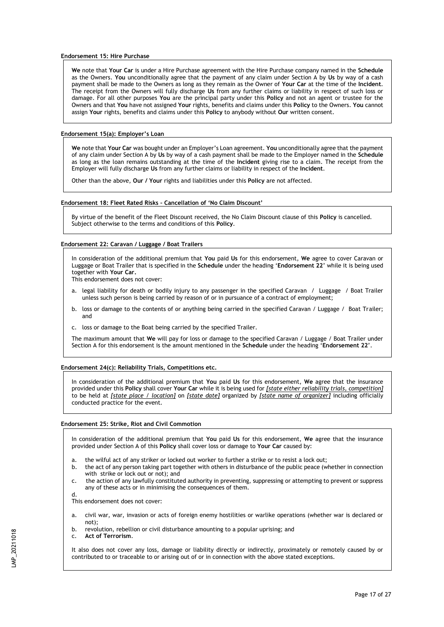### **Endorsement 15: Hire Purchase**

**We** note that **Your Car** is under a Hire Purchase agreement with the Hire Purchase company named in the **Schedule**  as the Owners. **You** unconditionally agree that the payment of any claim under Section A by **Us** by way of a cash payment shall be made to the Owners as long as they remain as the Owner of **Your Car** at the time of the **Incident**. The receipt from the Owners will fully discharge **Us** from any further claims or liability in respect of such loss or damage. For all other purposes **You** are the principal party under this **Policy** and not an agent or trustee for the Owners and that **You** have not assigned **Your** rights, benefits and claims under this **Policy** to the Owners. **You** cannot assign **Your** rights, benefits and claims under this **Policy** to anybody without **Our** written consent.

### **Endorsement 15(a): Employer's Loan**

**We** note that **Your Car** was bought under an Employer's Loan agreement. **You** unconditionally agree that the payment of any claim under Section A by **Us** by way of a cash payment shall be made to the Employer named in the **Schedule** as long as the loan remains outstanding at the time of the **Incident** giving rise to a claim. The receipt from the Employer will fully discharge **Us** from any further claims or liability in respect of the **Incident**.

Other than the above, **Our / Your** rights and liabilities under this **Policy** are not affected.

#### **Endorsement 18: Fleet Rated Risks – Cancellation of 'No Claim Discount'**

By virtue of the benefit of the Fleet Discount received, the No Claim Discount clause of this **Policy** is cancelled. Subject otherwise to the terms and conditions of this **Policy**.

#### **Endorsement 22: Caravan / Luggage / Boat Trailers**

In consideration of the additional premium that **You** paid **Us** for this endorsement, **We** agree to cover Caravan or Luggage or Boat Trailer that is specified in the **Schedule** under the heading '**Endorsement 22**' while it is being used together with **Your Car.**

This endorsement does not cover:

- a. legal liability for death or bodily injury to any passenger in the specified Caravan / Luggage / Boat Trailer unless such person is being carried by reason of or in pursuance of a contract of employment;
- b. loss or damage to the contents of or anything being carried in the specified Caravan / Luggage / Boat Trailer; and
- c. loss or damage to the Boat being carried by the specified Trailer.

The maximum amount that **We** will pay for loss or damage to the specified Caravan / Luggage / Boat Trailer under Section A for this endorsement is the amount mentioned in the **Schedule** under the heading '**Endorsement 22**'.

# **Endorsement 24(c): Reliability Trials, Competitions etc.**

In consideration of the additional premium that **You** paid **Us** for this endorsement, **We** agree that the insurance provided under this **Policy** shall cover **Your Car** while it is being used for *[state either reliability trials, competition]* to be held at *[state place / location]* on *[state date]* organized by *[state name of organizer]* including officially conducted practice for the event.

#### **Endorsement 25: Strike, Riot and Civil Commotion**

In consideration of the additional premium that **You** paid **Us** for this endorsement, **We** agree that the insurance provided under Section A of this **Policy** shall cover loss or damage to **Your Car** caused by:

- a. the wilful act of any striker or locked out worker to further a strike or to resist a lock out;
- b. the act of any person taking part together with others in disturbance of the public peace (whether in connection with strike or lock out or not); and
- c. the action of any lawfully constituted authority in preventing, suppressing or attempting to prevent or suppress any of these acts or in minimising the consequences of them.

This endorsement does not cover:

- a. civil war, war, invasion or acts of foreign enemy hostilities or warlike operations (whether war is declared or not);
- b. revolution, rebellion or civil disturbance amounting to a popular uprising; and
- c. **Act of Terrorism**.

d.

It also does not cover any loss, damage or liability directly or indirectly, proximately or remotely caused by or contributed to or traceable to or arising out of or in connection with the above stated exceptions.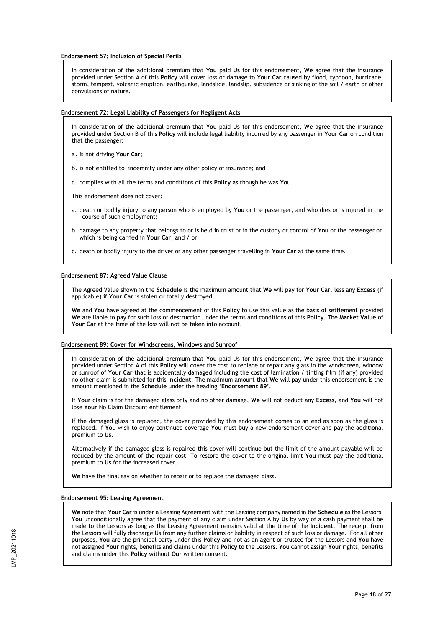**Endorsement 57: Inclusion of Special Perils**

In consideration of the additional premium that **You** paid **Us** for this endorsement, **We** agree that the insurance provided under Section A of this **Policy** will cover loss or damage to **Your Car** caused by flood, typhoon, hurricane, storm, tempest, volcanic eruption, earthquake, landslide, landslip, subsidence or sinking of the soil / earth or other convulsions of nature.

#### **Endorsement 72: Legal Liability of Passengers for Negligent Acts**

In consideration of the additional premium that **You** paid **Us** for this endorsement, **We** agree that the insurance provided under Section B of this **Policy** will include legal liability incurred by any passenger in **Your Car** on condition that the passenger:

- a. is not driving **Your Car**;
- b. is not entitled to indemnity under any other policy of insurance; and
- c. complies with all the terms and conditions of this **Policy** as though he was **You**.

This endorsement does not cover:

- a. death or bodily injury to any person who is employed by **You** or the passenger, and who dies or is injured in the course of such employment;
- b. damage to any property that belongs to or is held in trust or in the custody or control of **You** or the passenger or which is being carried in **Your Car**; and / or
- c. death or bodily injury to the driver or any other passenger travelling in **Your Car** at the same time.

#### **Endorsement 87: Agreed Value Clause**

The Agreed Value shown in the **Schedule** is the maximum amount that **We** will pay for **Your Car**, less any **Excess** (if applicable) if **Your Car** is stolen or totally destroyed.

**We** and **You** have agreed at the commencement of this **Policy** to use this value as the basis of settlement provided **We** are liable to pay for such loss or destruction under the terms and conditions of this **Policy**. The **Market Value** of **Your Car** at the time of the loss will not be taken into account.

#### **Endorsement 89: Cover for Windscreens, Windows and Sunroof**

In consideration of the additional premium that **You** paid **Us** for this endorsement, **We** agree that the insurance provided under Section A of this **Policy** will cover the cost to replace or repair any glass in the windscreen, window or sunroof of **Your Car** that is accidentally damaged including the cost of lamination / tinting film (if any) provided no other claim is submitted for this **Incident**. The maximum amount that **We** will pay under this endorsement is the amount mentioned in the **Schedule** under the heading '**Endorsement 89**'.

If **Your** claim is for the damaged glass only and no other damage, **We** will not deduct any **Excess**, and **You** will not lose **Your** No Claim Discount entitlement.

If the damaged glass is replaced, the cover provided by this endorsement comes to an end as soon as the glass is replaced. If **You** wish to enjoy continued coverage **You** must buy a new endorsement cover and pay the additional premium to **Us**.

Alternatively if the damaged glass is repaired this cover will continue but the limit of the amount payable will be reduced by the amount of the repair cost. To restore the cover to the original limit **You** must pay the additional premium to **Us** for the increased cover.

**We** have the final say on whether to repair or to replace the damaged glass.

## **Endorsement 95: Leasing Agreement**

**We** note that **Your Car** is under a Leasing Agreement with the Leasing company named in the **Schedule** as the Lessors. **You** unconditionally agree that the payment of any claim under Section A by **Us** by way of a cash payment shall be made to the Lessors as long as the Leasing Agreement remains valid at the time of the **Incident**. The receipt from the Lessors will fully discharge Us from any further claims or liability in respect of such loss or damage. For all other purposes, **You** are the principal party under this **Policy** and not as an agent or trustee for the Lessors and **You** have not assigned **Your** rights, benefits and claims under this **Policy** to the Lessors. **You** cannot assign **Your** rights, benefits and claims under this **Policy** without **Our** written consent**.**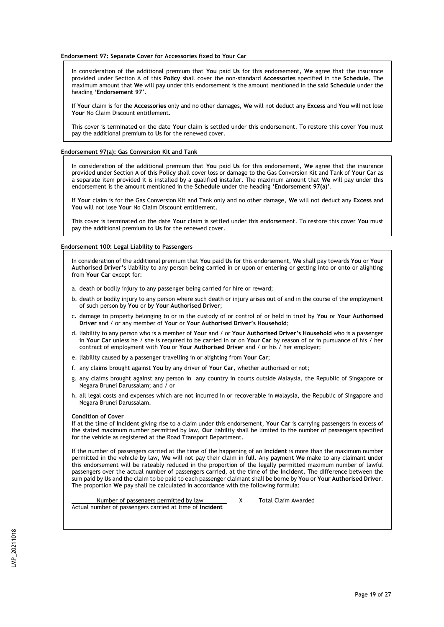#### **Endorsement 97: Separate Cover for Accessories fixed to Your Car**

In consideration of the additional premium that **You** paid **Us** for this endorsement, **We** agree that the insurance provided under Section A of this **Policy** shall cover the non-standard **Accessories** specified in the **Schedule.** The maximum amount that **We** will pay under this endorsement is the amount mentioned in the said **Schedule** under the heading '**Endorsement 97**'.

If **Your** claim is for the **Accessories** only and no other damages, **We** will not deduct any **Excess** and **You** will not lose **Your** No Claim Discount entitlement.

This cover is terminated on the date **Your** claim is settled under this endorsement. To restore this cover **You** must pay the additional premium to **Us** for the renewed cover.

### **Endorsement 97(a): Gas Conversion Kit and Tank**

In consideration of the additional premium that **You** paid **Us** for this endorsement, **We** agree that the insurance provided under Section A of this **Policy** shall cover loss or damage to the Gas Conversion Kit and Tank of **Your Car** as a separate item provided it is installed by a qualified installer. The maximum amount that **We** will pay under this endorsement is the amount mentioned in the **Schedule** under the heading '**Endorsement 97(a)**'.

If **Your** claim is for the Gas Conversion Kit and Tank only and no other damage, **We** will not deduct any **Excess** and **You** will not lose **Your** No Claim Discount entitlement.

This cover is terminated on the date **Your** claim is settled under this endorsement. To restore this cover **You** must pay the additional premium to **Us** for the renewed cover.

#### **Endorsement 100: Legal Liability to Passengers**

In consideration of the additional premium that **You** paid **Us** for this endorsement, **We** shall pay towards **You** or **Your Authorised Driver's** liability to any person being carried in or upon or entering or getting into or onto or alighting from **Your Car** except for:

- a. death or bodily injury to any passenger being carried for hire or reward;
- b. death or bodily injury to any person where such death or injury arises out of and in the course of the employment of such person by **You** or by **Your Authorised Driver**;
- c. damage to property belonging to or in the custody of or control of or held in trust by **You** or **Your Authorised Driver** and / or any member of **Your** or **Your Authorised Driver's Household**;
- d. liability to any person who is a member of **Your** and / or **Your Authorised Driver's Household** who is a passenger in **Your Car** unless he / she is required to be carried in or on **Your Car** by reason of or in pursuance of his / her contract of employment with **You** or **Your Authorised Driver** and / or his / her employer;
- e. liability caused by a passenger travelling in or alighting from **Your Car**;
- f. any claims brought against **You** by any driver of **Your Car**, whether authorised or not;
- g. any claims brought against any person in any country in courts outside Malaysia, the Republic of Singapore or Negara Brunei Darussalam; and / or
- h. all legal costs and expenses which are not incurred in or recoverable in Malaysia, the Republic of Singapore and Negara Brunei Darussalam.

#### **Condition of Cover**

If at the time of **Incident** giving rise to a claim under this endorsement, **Your Car** is carrying passengers in excess of the stated maximum number permitted by law, **Our** liability shall be limited to the number of passengers specified for the vehicle as registered at the Road Transport Department.

If the number of passengers carried at the time of the happening of an **Incident** is more than the maximum number permitted in the vehicle by law, **We** will not pay their claim in full. Any payment **We** make to any claimant under this endorsement will be rateably reduced in the proportion of the legally permitted maximum number of lawful passengers over the actual number of passengers carried, at the time of the **Incident.** The difference between the sum paid by **Us** and the claim to be paid to each passenger claimant shall be borne by **You** or **Your Authorised Driver**. The proportion **We** pay shall be calculated in accordance with the following formula:

Number of passengers permitted by law Manuel X Total Claim Awarded Actual number of passengers carried at time of **Incident**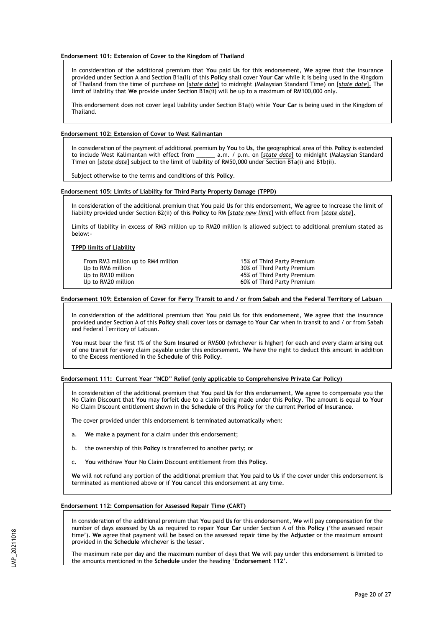### **Endorsement 101: Extension of Cover to the Kingdom of Thailand**

In consideration of the additional premium that **You** paid **Us** for this endorsement, **We** agree that the insurance provided under Section A and Section B1a(ii) of this **Policy** shall cover **Your Car** while it is being used in the Kingdom of Thailand from the time of purchase on [*state date*] to midnight (Malaysian Standard Time) on [*state date*]. The limit of liability that **We** provide under Section B1a(ii) will be up to a maximum of RM100,000 only.

This endorsement does not cover legal liability under Section B1a(i) while **Your Car** is being used in the Kingdom of Thailand.

#### **Endorsement 102: Extension of Cover to West Kalimantan**

In consideration of the payment of additional premium by **You** to **Us**, the geographical area of this **Policy** is extended to include West Kalimantan with effect from \_\_\_\_\_\_ a.m. / p.m. on [*state date*] to midnight (Malaysian Standard Time) on [*state date*] subject to the limit of liability of RM50,000 under Section B1a(i) and B1b(ii).

Subject otherwise to the terms and conditions of this **Policy**.

## **Endorsement 105: Limits of Liability for Third Party Property Damage (TPPD)**

In consideration of the additional premium that **You** paid **Us** for this endorsement, **We** agree to increase the limit of liability provided under Section B2(ii) of this **Policy** to RM [*state new limit*] with effect from [*state date*].

Limits of liability in excess of RM3 million up to RM20 million is allowed subject to additional premium stated as below:-

# **TPPD limits of Liability**

From RM3 million up to RM4 million - 15% of Third Party Premium<br>Up to RM6 million - 15% of Third Party Premium Up to RM10 million and the state of the 45% of Third Party Premium<br>
Up to RM20 million and the state of the 40% of Third Party Premium

30% of Third Party Premium 60% of Third Party Premium

## **Endorsement 109: Extension of Cover for Ferry Transit to and / or from Sabah and the Federal Territory of Labuan**

In consideration of the additional premium that **You** paid **Us** for this endorsement, **We** agree that the insurance provided under Section A of this **Policy** shall cover loss or damage to **Your Car** when in transit to and / or from Sabah and Federal Territory of Labuan.

**You** must bear the first 1% of the **Sum Insured** or RM500 (whichever is higher) for each and every claim arising out of one transit for every claim payable under this endorsement. **We** have the right to deduct this amount in addition to the **Excess** mentioned in the **Schedule** of this **Policy**.

**Endorsement 111: Current Year "NCD" Relief (only applicable to Comprehensive Private Car Policy)**

In consideration of the additional premium that **You** paid **Us** for this endorsement, **We** agree to compensate you the No Claim Discount that **You** may forfeit due to a claim being made under this **Policy**. The amount is equal to **Your** No Claim Discount entitlement shown in the **Schedule** of this **Policy** for the current **Period of Insurance**.

The cover provided under this endorsement is terminated automatically when:

- a. **We** make a payment for a claim under this endorsement;
- b. the ownership of this **Policy** is transferred to another party; or
- c. **You** withdraw **Your** No Claim Discount entitlement from this **Policy**.

**We** will not refund any portion of the additional premium that **You** paid to **Us** if the cover under this endorsement is terminated as mentioned above or if **You** cancel this endorsement at any time.

#### **Endorsement 112: Compensation for Assessed Repair Time (CART)**

In consideration of the additional premium that **You** paid **Us** for this endorsement, **We** will pay compensation for the number of days assessed by **Us** as required to repair **Your Car** under Section A of this **Policy** ('the assessed repair time'). **We** agree that payment will be based on the assessed repair time by the **Adjuster** or the maximum amount provided in the **Schedule** whichever is the lesser.

The maximum rate per day and the maximum number of days that **We** will pay under this endorsement is limited to the amounts mentioned in the **Schedule** under the heading '**Endorsement 112**'.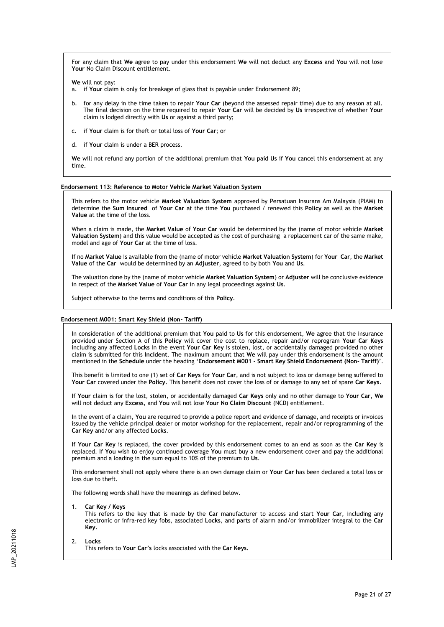For any claim that **We** agree to pay under this endorsement **We** will not deduct any **Excess** and **You** will not lose Your No Claim Discount entitlement.

**We** will not pay:

- a. if **Your** claim is only for breakage of glass that is payable under Endorsement 89;
- b. for any delay in the time taken to repair **Your Car** (beyond the assessed repair time) due to any reason at all. The final decision on the time required to repair **Your Car** will be decided by **Us** irrespective of whether **Your**  claim is lodged directly with **Us** or against a third party;
- c. if **Your** claim is for theft or total loss of **Your Car**; or
- d. if **Your** claim is under a BER process.

**We** will not refund any portion of the additional premium that **You** paid **Us** if **You** cancel this endorsement at any time.

#### **Endorsement 113: Reference to Motor Vehicle Market Valuation System**

This refers to the motor vehicle **Market Valuation System** approved by Persatuan Insurans Am Malaysia (PIAM) to determine the **Sum Insured** of **Your Car** at the time **You** purchased / renewed this **Policy** as well as the **Market Value** at the time of the loss.

When a claim is made, the **Market Value** of **Your Car** would be determined by the (name of motor vehicle **Market Valuation System**) and this value would be accepted as the cost of purchasing a replacement car of the same make, model and age of **Your Car** at the time of loss.

If no **Market Value** is available from the (name of motor vehicle **Market Valuation System**) for **Your Car**, the **Market Value** of the **Car** would be determined by an **Adjuster**, agreed to by both **You** and **Us**.

The valuation done by the (name of motor vehicle **Market Valuation System**) or **Adjuster** will be conclusive evidence in respect of the **Market Value** of **Your Car** in any legal proceedings against **Us**.

Subject otherwise to the terms and conditions of this **Policy**.

#### **Endorsement M001: Smart Key Shield (Non- Tariff)**

In consideration of the additional premium that **You** paid to **Us** for this endorsement, **We** agree that the insurance provided under Section A of this **Policy** will cover the cost to replace, repair and/or reprogram **Your Car Keys** including any affected **Locks** in the event **Your Car Key** is stolen, lost, or accidentally damaged provided no other claim is submitted for this **Incident**. The maximum amount that **We** will pay under this endorsement is the amount mentioned in the **Schedule** under the heading '**Endorsement M001 - Smart Key Shield Endorsement (Non- Tariff)**'.

This benefit is limited to one (1) set of **Car Keys** for **Your Car**, and is not subject to loss or damage being suffered to **Your Car** covered under the **Policy**. This benefit does not cover the loss of or damage to any set of spare **Car Keys**.

If **Your** claim is for the lost, stolen, or accidentally damaged **Car Keys** only and no other damage to **Your Car**, **We**  will not deduct any **Excess**, and **You** will not lose **Your No Claim Discount** (NCD) entitlement.

In the event of a claim, **You** are required to provide a police report and evidence of damage, and receipts or invoices issued by the vehicle principal dealer or motor workshop for the replacement, repair and/or reprogramming of the **Car Key** and/or any affected **Locks**.

If **Your Car Key** is replaced, the cover provided by this endorsement comes to an end as soon as the **Car Key** is replaced. If **You** wish to enjoy continued coverage **You** must buy a new endorsement cover and pay the additional premium and a loading in the sum equal to 10% of the premium to **Us**.

This endorsement shall not apply where there is an own damage claim or **Your Car** has been declared a total loss or loss due to theft.

The following words shall have the meanings as defined below.

1. **Car Key / Keys**

This refers to the key that is made by the **Car** manufacturer to access and start **Your Car**, including any electronic or infra-red key fobs, associated **Locks**, and parts of alarm and/or immobilizer integral to the **Car Key**.

#### 2. **Locks**

This refers to **Your Car's** locks associated with the **Car Keys**.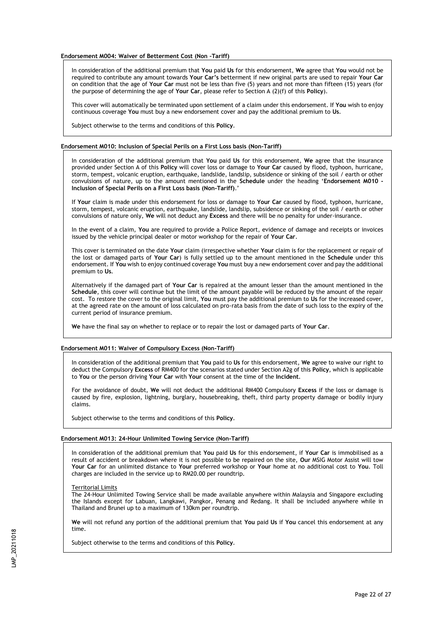**Endorsement M004: Waiver of Betterment Cost (Non –Tariff)**

In consideration of the additional premium that **You** paid **Us** for this endorsement, **We** agree that **You** would not be required to contribute any amount towards **Your Car's** betterment if new original parts are used to repair **Your Car** on condition that the age of **Your Car** must not be less than five (5) years and not more than fifteen (15) years (for the purpose of determining the age of **Your Car**, please refer to Section A (2)(f) of this **Policy**).

This cover will automatically be terminated upon settlement of a claim under this endorsement. If **You** wish to enjoy continuous coverage **You** must buy a new endorsement cover and pay the additional premium to **Us**.

Subject otherwise to the terms and conditions of this **Policy**.

#### **Endorsement M010: Inclusion of Special Perils on a First Loss basis (Non-Tariff)**

In consideration of the additional premium that **You** paid **Us** for this endorsement, **We** agree that the insurance provided under Section A of this **Policy** will cover loss or damage to **Your Car** caused by flood, typhoon, hurricane, storm, tempest, volcanic eruption, earthquake, landslide, landslip, subsidence or sinking of the soil / earth or other convulsions of nature, up to the amount mentioned in the **Schedule** under the heading '**Endorsement M010 - Inclusion of Special Perils on a First Loss basis (Non-Tariff)**.'

If **Your** claim is made under this endorsement for loss or damage to **Your Car** caused by flood, typhoon, hurricane, storm, tempest, volcanic eruption, earthquake, landslide, landslip, subsidence or sinking of the soil / earth or other convulsions of nature only, **We** will not deduct any **Excess** and there will be no penalty for under-insurance.

In the event of a claim, **You** are required to provide a Police Report, evidence of damage and receipts or invoices issued by the vehicle principal dealer or motor workshop for the repair of **Your Car**.

This cover is terminated on the date **Your** claim (irrespective whether **Your** claim is for the replacement or repair of the lost or damaged parts of **Your Car**) is fully settled up to the amount mentioned in the **Schedule** under this endorsement. If **You** wish to enjoy continued coverage **You** must buy a new endorsement cover and pay the additional premium to **Us**.

Alternatively if the damaged part of **Your Car** is repaired at the amount lesser than the amount mentioned in the **Schedule**, this cover will continue but the limit of the amount payable will be reduced by the amount of the repair cost. To restore the cover to the original limit, **You** must pay the additional premium to **Us** for the increased cover, at the agreed rate on the amount of loss calculated on pro-rata basis from the date of such loss to the expiry of the current period of insurance premium.

**We** have the final say on whether to replace or to repair the lost or damaged parts of **Your Car**.

#### **Endorsement M011: Waiver of Compulsory Excess (Non-Tariff)**

In consideration of the additional premium that **You** paid to **Us** for this endorsement, **We** agree to waive our right to deduct the Compulsory **Excess** of RM400 for the scenarios stated under Section A2g of this **Policy**, which is applicable to **You** or the person driving **Your Car** with **Your** consent at the time of the **Incident**.

For the avoidance of doubt, **We** will not deduct the additional RM400 Compulsory **Excess** if the loss or damage is caused by fire, explosion, lightning, burglary, housebreaking, theft, third party property damage or bodily injury claims.

Subject otherwise to the terms and conditions of this **Policy**.

#### **Endorsement M013: 24-Hour Unlimited Towing Service (Non-Tariff)**

In consideration of the additional premium that **You** paid **Us** for this endorsement, if **Your Car** is immobilised as a result of accident or breakdown where it is not possible to be repaired on the site, **Our** MSIG Motor Assist will tow **Your Car** for an unlimited distance to **Your** preferred workshop or **Your** home at no additional cost to **You**. Toll charges are included in the service up to RM20.00 per roundtrip.

#### Territorial Limits

The 24-Hour Unlimited Towing Service shall be made available anywhere within Malaysia and Singapore excluding the Islands except for Labuan, Langkawi, Pangkor, Penang and Redang. It shall be included anywhere while in Thailand and Brunei up to a maximum of 130km per roundtrip.

**We** will not refund any portion of the additional premium that **You** paid **Us** if **You** cancel this endorsement at any time.

Subject otherwise to the terms and conditions of this **Policy**.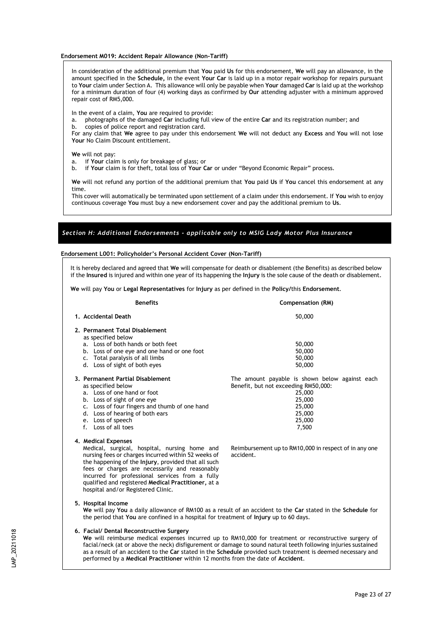**Endorsement M019: Accident Repair Allowance (Non-Tariff)**

In consideration of the additional premium that **You** paid **Us** for this endorsement, **We** will pay an allowance, in the amount specified in the **Schedule,** in the event **Your Car** is laid up in a motor repair workshop for repairs pursuant to **Your** claim under Section A. This allowance will only be payable when **Your** damaged **Car** is laid up at the workshop for a minimum duration of four (4) working days as confirmed by **Our** attending adjuster with a minimum approved repair cost of RM5,000.

In the event of a claim, **You** are required to provide:

- a. photographs of the damaged **Car** including full view of the entire **Car** and its registration number; and
- b. copies of police report and registration card.

For any claim that **We** agree to pay under this endorsement **We** will not deduct any **Excess** and **You** will not lose **Your** No Claim Discount entitlement.

**We** will not pay:

- a. if **Your** claim is only for breakage of glass; or
- b. if **Your** claim is for theft, total loss of **Your Car** or under "Beyond Economic Repair" process.

**We** will not refund any portion of the additional premium that **You** paid **Us** if **You** cancel this endorsement at any time.

This cover will automatically be terminated upon settlement of a claim under this endorsement. If **You** wish to enjoy continuous coverage **You** must buy a new endorsement cover and pay the additional premium to **Us**.

# *Section H: Additional Endorsements - applicable only to MSIG Lady Motor Plus Insurance*

#### **Endorsement L001: Policyholder's Personal Accident Cover (Non-Tariff)**

It is hereby declared and agreed that **We** will compensate for death or disablement (the Benefits) as described below if the **Insured** is injured and within one year of its happening the **Injury** is the sole cause of the death or disablement.

**We** will pay **You** or **Legal Representatives** for **Injury** as per defined in the **Policy/**this **Endorsement**.

| <b>Benefits</b>                                                                                                                                                                                                                                                                                                                                                                                                                                                        | Compensation (RM)                                                                                                                                 |  |
|------------------------------------------------------------------------------------------------------------------------------------------------------------------------------------------------------------------------------------------------------------------------------------------------------------------------------------------------------------------------------------------------------------------------------------------------------------------------|---------------------------------------------------------------------------------------------------------------------------------------------------|--|
| 1. Accidental Death                                                                                                                                                                                                                                                                                                                                                                                                                                                    | 50,000                                                                                                                                            |  |
| 2. Permanent Total Disablement<br>as specified below<br>a. Loss of both hands or both feet<br>b. Loss of one eye and one hand or one foot<br>c. Total paralysis of all limbs<br>d. Loss of sight of both eyes                                                                                                                                                                                                                                                          | 50,000<br>50,000<br>50,000<br>50,000                                                                                                              |  |
| 3. Permanent Partial Disablement<br>as specified below<br>a. Loss of one hand or foot<br>b. Loss of sight of one eye<br>c. Loss of four fingers and thumb of one hand<br>d. Loss of hearing of both ears<br>e. Loss of speech<br>f. Loss of all toes                                                                                                                                                                                                                   | The amount payable is shown below against each<br>Benefit, but not exceeding RM50,000:<br>25,000<br>25,000<br>25,000<br>25,000<br>25,000<br>7,500 |  |
| 4. Medical Expenses<br>Medical, surgical, hospital, nursing home and<br>nursing fees or charges incurred within 52 weeks of<br>the happening of the Injury, provided that all such<br>fees or charges are necessarily and reasonably<br>incurred for professional services from a fully<br>qualified and registered Medical Practitioner, at a<br>hospital and/or Registered Clinic.                                                                                   | Reimbursement up to RM10,000 in respect of in any one<br>accident.                                                                                |  |
| 5. Hospital Income<br>We will pay You a daily allowance of RM100 as a result of an accident to the Car stated in the Schedule for<br>the period that You are confined in a hospital for treatment of Injury up to 60 days.                                                                                                                                                                                                                                             |                                                                                                                                                   |  |
| 6. Facial/ Dental Reconstructive Surgery<br>We will reimburse medical expenses incurred up to RM10,000 for treatment or reconstructive surgery of<br>facial/neck (at or above the neck) disfigurement or damage to sound natural teeth following injuries sustained<br>as a result of an accident to the Car stated in the Schedule provided such treatment is deemed necessary and<br>performed by a Medical Practitioner within 12 months from the date of Accident. |                                                                                                                                                   |  |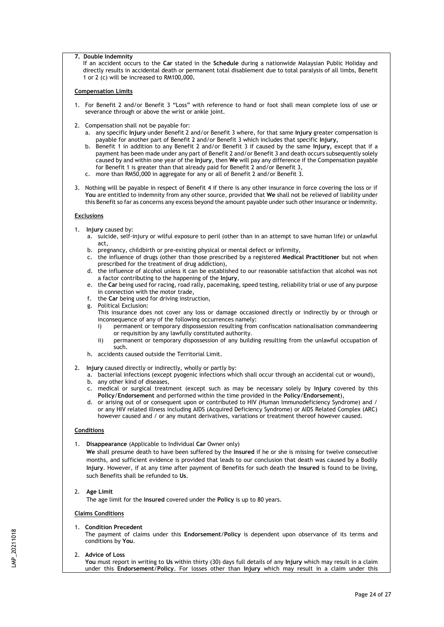### **7. Double Indemnity**

If an accident occurs to the **Car** stated in the **Schedule** during a nationwide Malaysian Public Holiday and directly results in accidental death or permanent total disablement due to total paralysis of all limbs, Benefit 1 or 2 (c) will be increased to RM100,000**.**

### **Compensation Limits**

- 1. For Benefit 2 and/or Benefit 3 "Loss" with reference to hand or foot shall mean complete loss of use or severance through or above the wrist or ankle joint.
- 2. Compensation shall not be payable for:
	- a. any specific **Injury** under Benefit 2 and/or Benefit 3 where, for that same **Injury** greater compensation is payable for another part of Benefit 2 and/or Benefit 3 which includes that specific **Injury,**
	- b. Benefit 1 in addition to any Benefit 2 and/or Benefit 3 if caused by the same **Injury,** except that if a payment has been made under any part of Benefit 2 and/or Benefit 3 and death occurs subsequently solely caused by and within one year of the **Injury,** then **We** will pay any difference if the Compensation payable for Benefit 1 is greater than that already paid for Benefit 2 and/or Benefit 3,
	- c. more than RM50,000 in aggregate for any or all of Benefit 2 and/or Benefit 3.
- 3. Nothing will be payable in respect of Benefit 4 if there is any other insurance in force covering the loss or if **You** are entitled to indemnity from any other source, provided that **We** shall not be relieved of liability under this Benefit so far as concerns any excess beyond the amount payable under such other insurance or indemnity.

# **Exclusions**

- 1. **Injury** caused by:
	- a. suicide, self-injury or wilful exposure to peril (other than in an attempt to save human life) or unlawful act,
	- b. pregnancy, childbirth or pre-existing physical or mental defect or infirmity,
	- c. the influence of drugs (other than those prescribed by a registered **Medical Practitioner** but not when prescribed for the treatment of drug addiction),
	- d. the influence of alcohol unless it can be established to our reasonable satisfaction that alcohol was not a factor contributing to the happening of the **Injury**,
	- e. the **Car** being used for racing, road rally, pacemaking, speed testing, reliability trial or use of any purpose in connection with the motor trade,
	- f. the **Car** being used for driving instruction,
	- g. Political Exclusion:

This insurance does not cover any loss or damage occasioned directly or indirectly by or through or inconsequence of any of the following occurrences namely:

- i) permanent or temporary dispossession resulting from confiscation nationalisation commandeering or requisition by any lawfully constituted authority.
- ii) permanent or temporary dispossession of any building resulting from the unlawful occupation of such.
- h. accidents caused outside the Territorial Limit.
- 2. **Injury** caused directly or indirectly, wholly or partly by:
	- a. bacterial infections (except pyogenic infections which shall occur through an accidental cut or wound), b. any other kind of diseases,
	- c. medical or surgical treatment (except such as may be necessary solely by **Injury** covered by this **Policy**/**Endorsement** and performed within the time provided in the **Policy**/**Endorsement**),
	- d. or arising out of or consequent upon or contributed to HIV (Human Immunodeficiency Syndrome) and / or any HIV related illness including AIDS (Acquired Deficiency Syndrome) or AIDS Related Complex (ARC) however caused and / or any mutant derivatives, variations or treatment thereof however caused.

### **Conditions**

1. **Disappearance** (Applicable to Individual **Car** Owner only)

**We** shall presume death to have been suffered by the **Insured** if he or she is missing for twelve consecutive months, and sufficient evidence is provided that leads to our conclusion that death was caused by a Bodily **Injury**. However, if at any time after payment of Benefits for such death the **Insured** is found to be living, such Benefits shall be refunded to **Us**.

# 2. **Age Limit**

The age limit for the **Insured** covered under the **Policy** is up to 80 years.

# **Claims Conditions**

1. **Condition Precedent** 

The payment of claims under this **Endorsement**/**Policy** is dependent upon observance of its terms and conditions by **You**.

#### 2. **Advice of Loss**

**You** must report in writing to **Us** within thirty (30) days full details of any **Injury** which may result in a claim under this **Endorsement**/**Policy**. For losses other than **Injury** which may result in a claim under this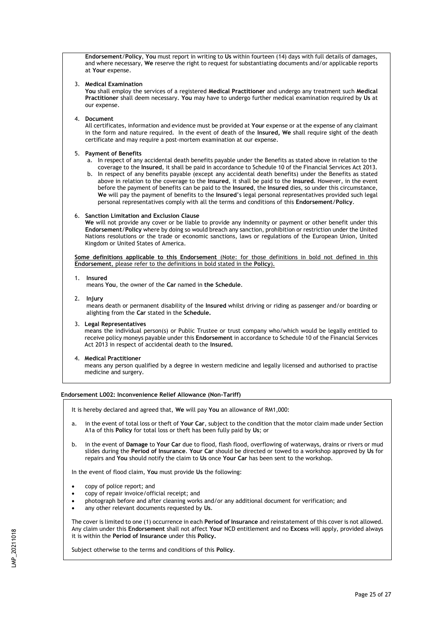**Endorsement**/**Policy**, **You** must report in writing to **Us** within fourteen (14) days with full details of damages, and where necessary, **We** reserve the right to request for substantiating documents and/or applicable reports at **Your** expense.

## 3. **Medical Examination**

**You** shall employ the services of a registered **Medical Practitioner** and undergo any treatment such **Medical Practitioner** shall deem necessary. **You** may have to undergo further medical examination required by **Us** at our expense.

4. **Document**

All certificates, information and evidence must be provided at **Your** expense or at the expense of any claimant in the form and nature required. In the event of death of the **Insured, We** shall require sight of the death certificate and may require a post-mortem examination at our expense.

## 5. **Payment of Benefits**

- a. In respect of any accidental death benefits payable under the Benefits as stated above in relation to the coverage to the **Insured**, it shall be paid in accordance to Schedule 10 of the Financial Services Act 2013.
- b. In respect of any benefits payable (except any accidental death benefits) under the Benefits as stated above in relation to the coverage to the **Insured**, it shall be paid to the **Insured**. However, in the event before the payment of benefits can be paid to the **Insured**, the **Insured** dies, so under this circumstance, **We** will pay the payment of benefits to the **Insured**'s legal personal representatives provided such legal personal representatives comply with all the terms and conditions of this **Endorsement**/**Policy**.

## 6. **Sanction Limitation and Exclusion Clause**

**We** will not provide any cover or be liable to provide any indemnity or payment or other benefit under this **Endorsement**/**Policy** where by doing so would breach any sanction, prohibition or restriction under the United Nations resolutions or the trade or economic sanctions, laws or regulations of the European Union, United Kingdom or United States of America.

**Some definitions applicable to this Endorsement** (Note: for those definitions in bold not defined in this **Endorsement**, please refer to the definitions in bold stated in the **Policy**).

## 1. **Insured**

means **You**, the owner of the **Car** named in **the Schedule**.

2. **Injury**

means death or permanent disability of the **Insured** whilst driving or riding as passenger and/or boarding or alighting from the **Car** stated in the **Schedule.**

#### 3. **Legal Representatives**

means the individual person(s) or Public Trustee or trust company who/which would be legally entitled to receive policy moneys payable under this **Endorsement** in accordance to Schedule 10 of the Financial Services Act 2013 in respect of accidental death to the **Insured.**

4. **Medical Practitioner**

means any person qualified by a degree in western medicine and legally licensed and authorised to practise medicine and surgery.

# **Endorsement L002: Inconvenience Relief Allowance (Non-Tariff)**

It is hereby declared and agreed that, **We** will pay **You** an allowance of RM1,000:

- a. in the event of total loss or theft of **Your Car**, subject to the condition that the motor claim made under Section A1a of this **Policy** for total loss or theft has been fully paid by **Us**; or
- b. in the event of **Damage** to **Your Car** due to flood, flash flood, overflowing of waterways, drains or rivers or mud slides during the **Period of Insurance**. **Your Car** should be directed or towed to a workshop approved by **Us** for repairs and **You** should notify the claim to **Us** once **Your Car** has been sent to the workshop.

In the event of flood claim, **You** must provide **Us** the following:

- copy of police report; and
- copy of repair invoice/official receipt; and
- photograph before and after cleaning works and/or any additional document for verification; and
- any other relevant documents requested by **Us**.

The cover is limited to one (1) occurrence in each **Period of Insurance** and reinstatement of this cover is not allowed. Any claim under this **Endorsement** shall not affect **Your** NCD entitlement and no **Excess** will apply, provided always it is within the **Period of Insurance** under this **Policy.**

Subject otherwise to the terms and conditions of this **Policy**.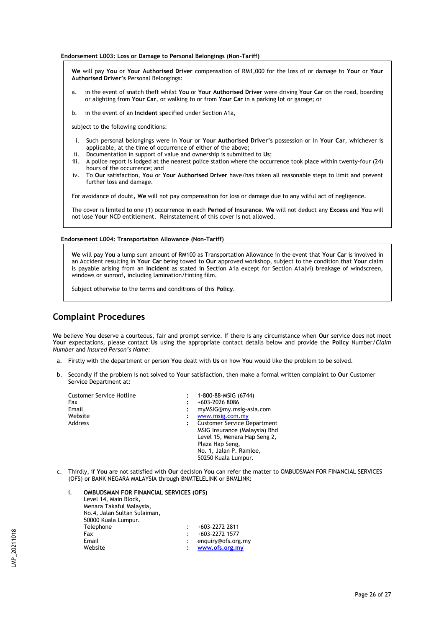#### **Endorsement L003: Loss or Damage to Personal Belongings (Non-Tariff)**

**We** will pay **You** or **Your Authorised Driver** compensation of RM1,000 for the loss of or damage to **Your** or **Your Authorised Driver's** Personal Belongings:

- a. in the event of snatch theft whilst **You** or **Your Authorised Driver** were driving **Your Car** on the road, boarding or alighting from **Your Car**, or walking to or from **Your Car** in a parking lot or garage; or
- b. in the event of an **Incident** specified under Section A1a,

subject to the following conditions:

- i. Such personal belongings were in **Your** or **Your Authorised Driver's** possession or in **Your Car**, whichever is applicable, at the time of occurrence of either of the above;
- ii. Documentation in support of value and ownership is submitted to **Us**;
- A police report is lodged at the nearest police station where the occurrence took place within twenty-four (24) hours of the occurrence; and
- iv. To **Our** satisfaction, **You** or **Your Authorised Driver** have/has taken all reasonable steps to limit and prevent further loss and damage.

For avoidance of doubt, **We** will not pay compensation for loss or damage due to any wilful act of negligence.

The cover is limited to one (1) occurrence in each **Period of Insurance**. **We** will not deduct any **Excess** and **You** will not lose **Your** NCD entitlement. Reinstatement of this cover is not allowed.

#### **Endorsement L004: Transportation Allowance (Non-Tariff)**

**We** will pay **You** a lump sum amount of RM100 as Transportation Allowance in the event that **Your Car** is involved in an Accident resulting in **Your Car** being towed to **Our** approved workshop, subject to the condition that **Your** claim is payable arising from an **Incident** as stated in Section A1a except for Section A1a(vi) breakage of windscreen, windows or sunroof, including lamination/tinting film.

Subject otherwise to the terms and conditions of this **Policy**.

# **Complaint Procedures**

**We** believe **You** deserve a courteous, fair and prompt service. If there is any circumstance when **Our** service does not meet **Your** expectations, please contact **Us** using the appropriate contact details below and provide the **Policy** Number/*Claim Number* and *Insured Person's Name*:

- a. Firstly with the department or person **You** dealt with **Us** on how **You** would like the problem to be solved.
- b. Secondly if the problem is not solved to **Your** satisfaction, then make a formal written complaint to **Our** Customer Service Department at:

| <b>Customer Service Hotline</b><br>Fax<br>Email<br>Website<br>Address | 1-800-88-MSIG (6744)<br>+603-2026 8086<br>myMSIG@my.msig-asia.com<br>www.msig.com.my<br><b>Customer Service Department</b><br>MSIG Insurance (Malaysia) Bhd |
|-----------------------------------------------------------------------|-------------------------------------------------------------------------------------------------------------------------------------------------------------|
|                                                                       |                                                                                                                                                             |
|                                                                       |                                                                                                                                                             |
|                                                                       |                                                                                                                                                             |
|                                                                       | Level 15, Menara Hap Seng 2,                                                                                                                                |
|                                                                       | Plaza Hap Seng,                                                                                                                                             |
|                                                                       | No. 1, Jalan P. Ramlee,                                                                                                                                     |
|                                                                       | 50250 Kuala Lumpur.                                                                                                                                         |

c. Thirdly, if **You** are not satisfied with **Our** decision **You** can refer the matter to OMBUDSMAN FOR FINANCIAL SERVICES (OFS) or BANK NEGARA MALAYSIA through BNMTELELINK or BNMLINK:

# i. **OMBUDSMAN FOR FINANCIAL SERVICES (OFS)**

Level 14, Main Block, Menara Takaful Malaysia, No.4, Jalan Sultan Sulaiman, 50000 Kuala Lumpur.  $: +603-227222811$ Fax : +603-2272 1577<br>Email : enquiry@ofs.org : enquiry@ofs.org.my Website **: www.ofs.org.my**